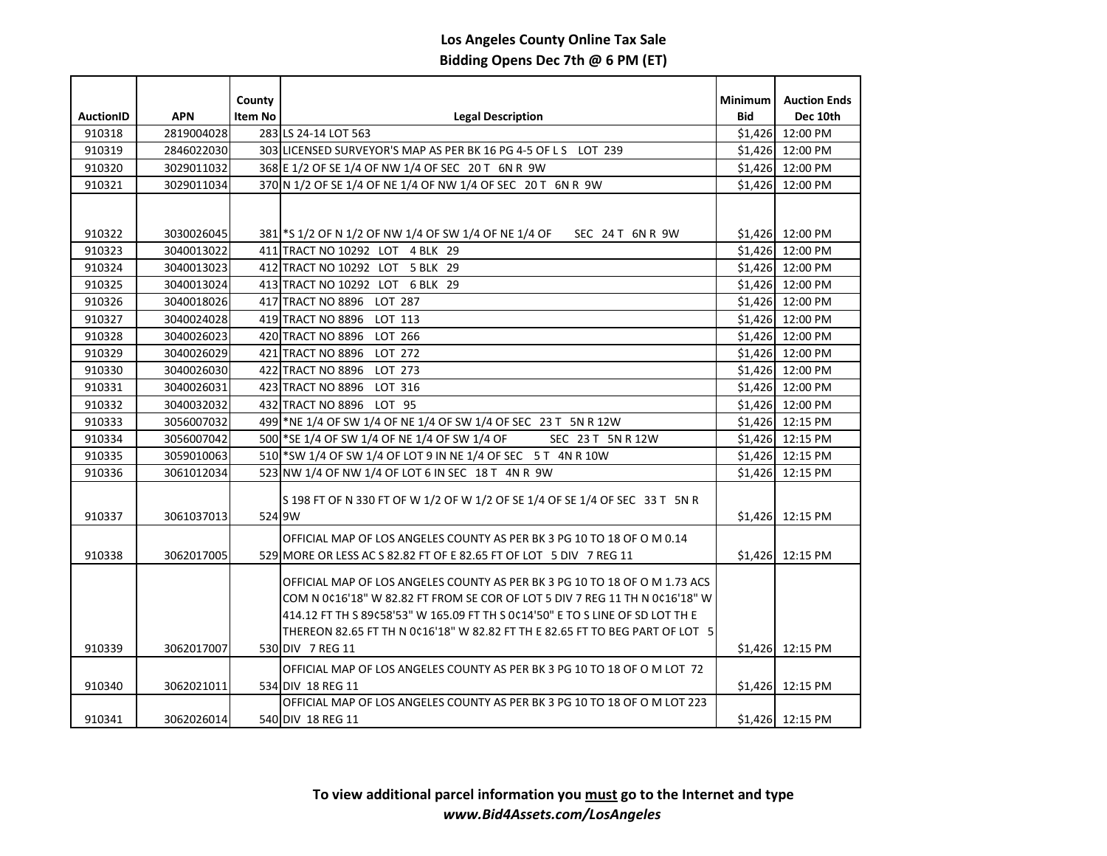| <b>AuctionID</b> | <b>APN</b> | County<br><b>Item No</b> | <b>Legal Description</b>                                                                                                                     | <b>Minimum</b><br>Bid | <b>Auction Ends</b><br>Dec 10th |
|------------------|------------|--------------------------|----------------------------------------------------------------------------------------------------------------------------------------------|-----------------------|---------------------------------|
| 910318           | 2819004028 |                          | 283 LS 24-14 LOT 563                                                                                                                         |                       | \$1,426 12:00 PM                |
| 910319           | 2846022030 |                          | 303 LICENSED SURVEYOR'S MAP AS PER BK 16 PG 4-5 OF L S LOT 239                                                                               |                       | \$1,426 12:00 PM                |
| 910320           | 3029011032 |                          | 368 E 1/2 OF SE 1/4 OF NW 1/4 OF SEC 20 T 6N R 9W                                                                                            |                       | \$1,426 12:00 PM                |
| 910321           | 3029011034 |                          | 370 N 1/2 OF SE 1/4 OF NE 1/4 OF NW 1/4 OF SEC 20 T 6N R 9W                                                                                  | \$1,426               | 12:00 PM                        |
|                  |            |                          |                                                                                                                                              |                       |                                 |
|                  |            |                          |                                                                                                                                              |                       |                                 |
| 910322           | 3030026045 |                          | 381 S 1/2 OF N 1/2 OF NW 1/4 OF SW 1/4 OF NE 1/4 OF<br>SEC 24 T 6N R 9W                                                                      |                       | \$1,426 12:00 PM                |
| 910323           | 3040013022 |                          | 411 TRACT NO 10292 LOT 4 BLK 29                                                                                                              |                       | \$1,426 12:00 PM                |
| 910324           | 3040013023 |                          | 412 TRACT NO 10292 LOT 5 BLK 29                                                                                                              |                       | \$1,426 12:00 PM                |
| 910325           | 3040013024 |                          | 413 TRACT NO 10292 LOT 6 BLK 29                                                                                                              |                       | \$1,426 12:00 PM                |
| 910326           | 3040018026 |                          | 417 TRACT NO 8896 LOT 287                                                                                                                    |                       | \$1,426 12:00 PM                |
| 910327           | 3040024028 |                          | 419 TRACT NO 8896 LOT 113                                                                                                                    |                       | \$1,426 12:00 PM                |
| 910328           | 3040026023 |                          | 420 TRACT NO 8896 LOT 266                                                                                                                    |                       | \$1,426 12:00 PM                |
| 910329           | 3040026029 |                          | 421 TRACT NO 8896 LOT 272                                                                                                                    |                       | \$1,426 12:00 PM                |
| 910330           | 3040026030 |                          | 422 TRACT NO 8896 LOT 273                                                                                                                    | \$1,426               | 12:00 PM                        |
| 910331           | 3040026031 |                          | 423 TRACT NO 8896<br>LOT 316                                                                                                                 | \$1,426               | 12:00 PM                        |
| 910332           | 3040032032 |                          | 432 TRACT NO 8896 LOT 95                                                                                                                     | \$1,426               | 12:00 PM                        |
| 910333           | 3056007032 |                          | 499 NE 1/4 OF SW 1/4 OF NE 1/4 OF SW 1/4 OF SEC 23 T 5N R 12W                                                                                | \$1,426               | 12:15 PM                        |
| 910334           | 3056007042 |                          | 500 * SE 1/4 OF SW 1/4 OF NE 1/4 OF SW 1/4 OF<br>SEC 23 T 5N R 12W                                                                           |                       | \$1,426 12:15 PM                |
| 910335           | 3059010063 |                          | 510 *SW 1/4 OF SW 1/4 OF LOT 9 IN NE 1/4 OF SEC 5 T 4N R 10W                                                                                 |                       | \$1,426 12:15 PM                |
| 910336           | 3061012034 |                          | 523 NW 1/4 OF NW 1/4 OF LOT 6 IN SEC 18 T 4N R 9W                                                                                            | \$1,426               | 12:15 PM                        |
| 910337           | 3061037013 |                          | S 198 FT OF N 330 FT OF W 1/2 OF W 1/2 OF SE 1/4 OF SE 1/4 OF SEC 33 T 5N R<br>524 9W                                                        |                       | \$1.426 12:15 PM                |
|                  |            |                          |                                                                                                                                              |                       |                                 |
| 910338           | 3062017005 |                          | OFFICIAL MAP OF LOS ANGELES COUNTY AS PER BK 3 PG 10 TO 18 OF O M 0.14<br>529 MORE OR LESS AC S 82.82 FT OF E 82.65 FT OF LOT 5 DIV 7 REG 11 |                       | \$1,426 12:15 PM                |
|                  |            |                          |                                                                                                                                              |                       |                                 |
|                  |            |                          | OFFICIAL MAP OF LOS ANGELES COUNTY AS PER BK 3 PG 10 TO 18 OF O M 1.73 ACS                                                                   |                       |                                 |
|                  |            |                          | COM N 0¢16'18" W 82.82 FT FROM SE COR OF LOT 5 DIV 7 REG 11 TH N 0¢16'18" W                                                                  |                       |                                 |
|                  |            |                          | 414.12 FT TH S 89¢58'53" W 165.09 FT TH S 0¢14'50" E TO S LINE OF SD LOT TH E                                                                |                       |                                 |
|                  |            |                          | THEREON 82.65 FT TH N 0¢16'18" W 82.82 FT TH E 82.65 FT TO BEG PART OF LOT 5                                                                 |                       |                                 |
| 910339           | 3062017007 |                          | 530 DIV 7 REG 11                                                                                                                             |                       | \$1,426 12:15 PM                |
|                  |            |                          | OFFICIAL MAP OF LOS ANGELES COUNTY AS PER BK 3 PG 10 TO 18 OF O M LOT 72                                                                     |                       |                                 |
| 910340           | 3062021011 |                          | 534 DIV 18 REG 11                                                                                                                            |                       | \$1,426 12:15 PM                |
|                  |            |                          | OFFICIAL MAP OF LOS ANGELES COUNTY AS PER BK 3 PG 10 TO 18 OF O M LOT 223                                                                    |                       |                                 |
| 910341           | 3062026014 |                          | 540 DIV 18 REG 11                                                                                                                            |                       | \$1,426 12:15 PM                |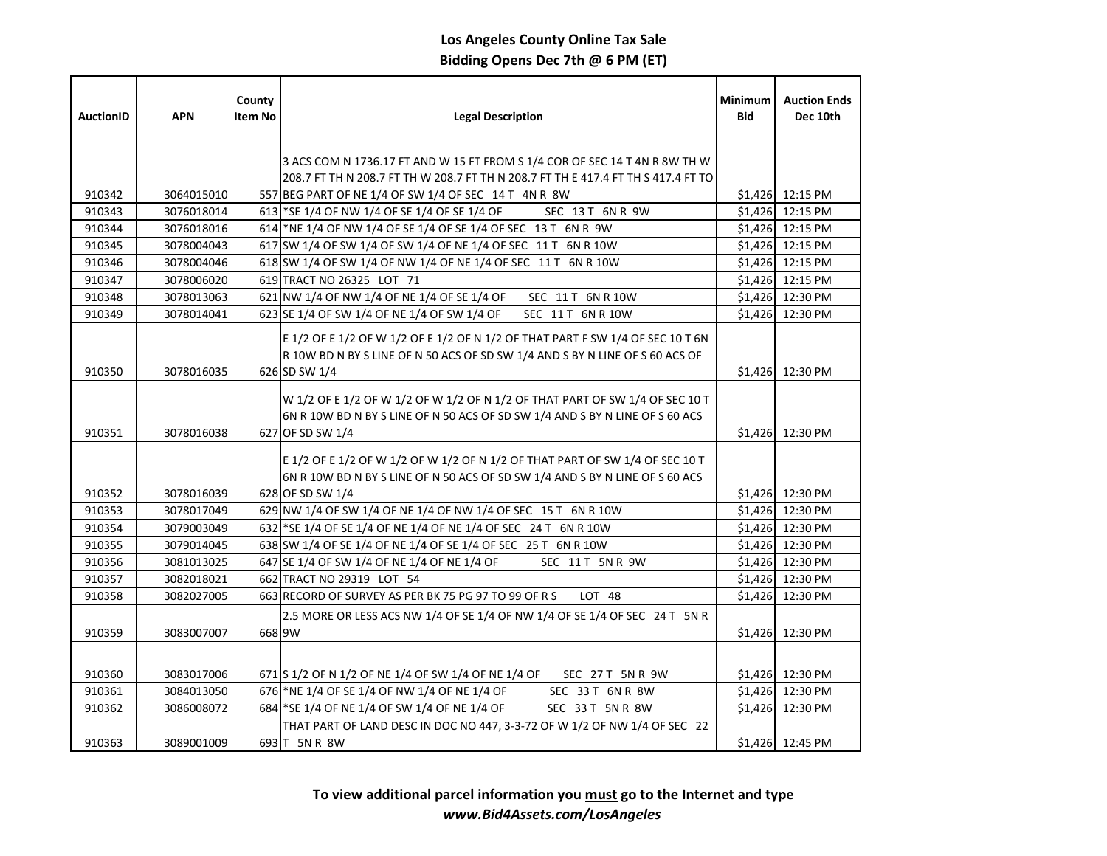|                  |                          | County         |                                                                                                                                                                                  | <b>Minimum</b> | <b>Auction Ends</b>                  |
|------------------|--------------------------|----------------|----------------------------------------------------------------------------------------------------------------------------------------------------------------------------------|----------------|--------------------------------------|
| <b>AuctionID</b> | <b>APN</b>               | <b>Item No</b> | <b>Legal Description</b>                                                                                                                                                         | <b>Bid</b>     | Dec 10th                             |
|                  |                          |                |                                                                                                                                                                                  |                |                                      |
|                  |                          |                | 3 ACS COM N 1736.17 FT AND W 15 FT FROM S 1/4 COR OF SEC 14 T 4N R 8W TH W                                                                                                       |                |                                      |
|                  |                          |                | 208.7 FT TH N 208.7 FT TH W 208.7 FT TH N 208.7 FT TH E 417.4 FT TH S 417.4 FT TO                                                                                                |                |                                      |
| 910342           | 3064015010               |                | 557 BEG PART OF NE 1/4 OF SW 1/4 OF SEC 14 T 4N R 8W                                                                                                                             |                | \$1,426 12:15 PM                     |
| 910343           | 3076018014               |                | 613 *SE 1/4 OF NW 1/4 OF SE 1/4 OF SE 1/4 OF<br>SEC 13 T 6N R 9W                                                                                                                 |                | \$1,426 12:15 PM                     |
| 910344           | 3076018016               |                | 614 NE 1/4 OF NW 1/4 OF SE 1/4 OF SE 1/4 OF SEC 13 T 6N R 9W                                                                                                                     |                | \$1,426 12:15 PM                     |
| 910345           | 3078004043               |                | 617 SW 1/4 OF SW 1/4 OF SW 1/4 OF NE 1/4 OF SEC 11 T 6N R 10W                                                                                                                    |                | \$1,426 12:15 PM                     |
| 910346           | 3078004046               |                | 618 SW 1/4 OF SW 1/4 OF NW 1/4 OF NE 1/4 OF SEC 11 T 6N R 10W                                                                                                                    |                | \$1,426 12:15 PM                     |
| 910347           | 3078006020               |                | 619 TRACT NO 26325 LOT 71                                                                                                                                                        |                | \$1,426 12:15 PM                     |
| 910348           | 3078013063               |                | 621 NW 1/4 OF NW 1/4 OF NE 1/4 OF SE 1/4 OF<br>SEC 11 T 6N R 10W                                                                                                                 |                | \$1,426 12:30 PM                     |
| 910349           | 3078014041               |                | 623 SE 1/4 OF SW 1/4 OF NE 1/4 OF SW 1/4 OF<br>SEC 11 T 6N R 10W                                                                                                                 | \$1.426        | 12:30 PM                             |
|                  |                          |                | E 1/2 OF E 1/2 OF W 1/2 OF E 1/2 OF N 1/2 OF THAT PART F SW 1/4 OF SEC 10 T 6N<br>R 10W BD N BY S LINE OF N 50 ACS OF SD SW 1/4 AND S BY N LINE OF S 60 ACS OF                   |                |                                      |
| 910350           | 3078016035               |                | 626 SD SW 1/4                                                                                                                                                                    |                | \$1,426 12:30 PM                     |
| 910351           | 3078016038               |                | W 1/2 OF E 1/2 OF W 1/2 OF W 1/2 OF N 1/2 OF THAT PART OF SW 1/4 OF SEC 10 T<br>6N R 10W BD N BY S LINE OF N 50 ACS OF SD SW 1/4 AND S BY N LINE OF S 60 ACS<br>627 OF SD SW 1/4 |                | \$1,426 12:30 PM                     |
|                  |                          |                | E 1/2 OF E 1/2 OF W 1/2 OF W 1/2 OF N 1/2 OF THAT PART OF SW 1/4 OF SEC 10 T<br>6N R 10W BD N BY S LINE OF N 50 ACS OF SD SW 1/4 AND S BY N LINE OF S 60 ACS                     |                |                                      |
| 910352           | 3078016039               |                | 628 OF SD SW 1/4                                                                                                                                                                 |                | \$1,426 12:30 PM                     |
| 910353           | 3078017049               |                | 629 NW 1/4 OF SW 1/4 OF NE 1/4 OF NW 1/4 OF SEC 15 T 6N R 10W                                                                                                                    |                | \$1,426 12:30 PM                     |
| 910354           | 3079003049               |                | 632 *SE 1/4 OF SE 1/4 OF NE 1/4 OF NE 1/4 OF SEC 24 T 6N R 10W                                                                                                                   |                | \$1,426 12:30 PM                     |
| 910355<br>910356 | 3079014045<br>3081013025 |                | 638 SW 1/4 OF SE 1/4 OF NE 1/4 OF SE 1/4 OF SEC 25 T 6N R 10W<br>SEC 11 T 5N R 9W                                                                                                |                | \$1,426 12:30 PM<br>\$1,426 12:30 PM |
| 910357           | 3082018021               |                | 647 SE 1/4 OF SW 1/4 OF NE 1/4 OF NE 1/4 OF<br>662 TRACT NO 29319 LOT 54                                                                                                         |                | \$1,426 12:30 PM                     |
| 910358           | 3082027005               |                | 663 RECORD OF SURVEY AS PER BK 75 PG 97 TO 99 OF R S<br>LOT 48                                                                                                                   |                | \$1,426 12:30 PM                     |
|                  |                          |                |                                                                                                                                                                                  |                |                                      |
| 910359           | 3083007007               |                | 2.5 MORE OR LESS ACS NW 1/4 OF SE 1/4 OF NW 1/4 OF SE 1/4 OF SEC 24 T 5N R<br>668 9W                                                                                             |                | \$1,426 12:30 PM                     |
|                  |                          |                |                                                                                                                                                                                  |                |                                      |
|                  |                          |                |                                                                                                                                                                                  |                |                                      |
| 910360           | 3083017006               |                | 671 S 1/2 OF N 1/2 OF NE 1/4 OF SW 1/4 OF NE 1/4 OF<br>SEC 27 T 5N R 9W                                                                                                          |                | \$1,426 12:30 PM                     |
| 910361           | 3084013050               |                | 676 NE 1/4 OF SE 1/4 OF NW 1/4 OF NE 1/4 OF<br>SEC 33 T 6N R 8W                                                                                                                  |                | \$1,426 12:30 PM                     |
| 910362           | 3086008072               |                | SEC 33 T 5N R 8W<br>684 SE 1/4 OF NE 1/4 OF SW 1/4 OF NE 1/4 OF                                                                                                                  |                | \$1,426 12:30 PM                     |
| 910363           | 3089001009               |                | THAT PART OF LAND DESC IN DOC NO 447, 3-3-72 OF W 1/2 OF NW 1/4 OF SEC 22<br>693 T 5N R 8W                                                                                       |                | \$1,426 12:45 PM                     |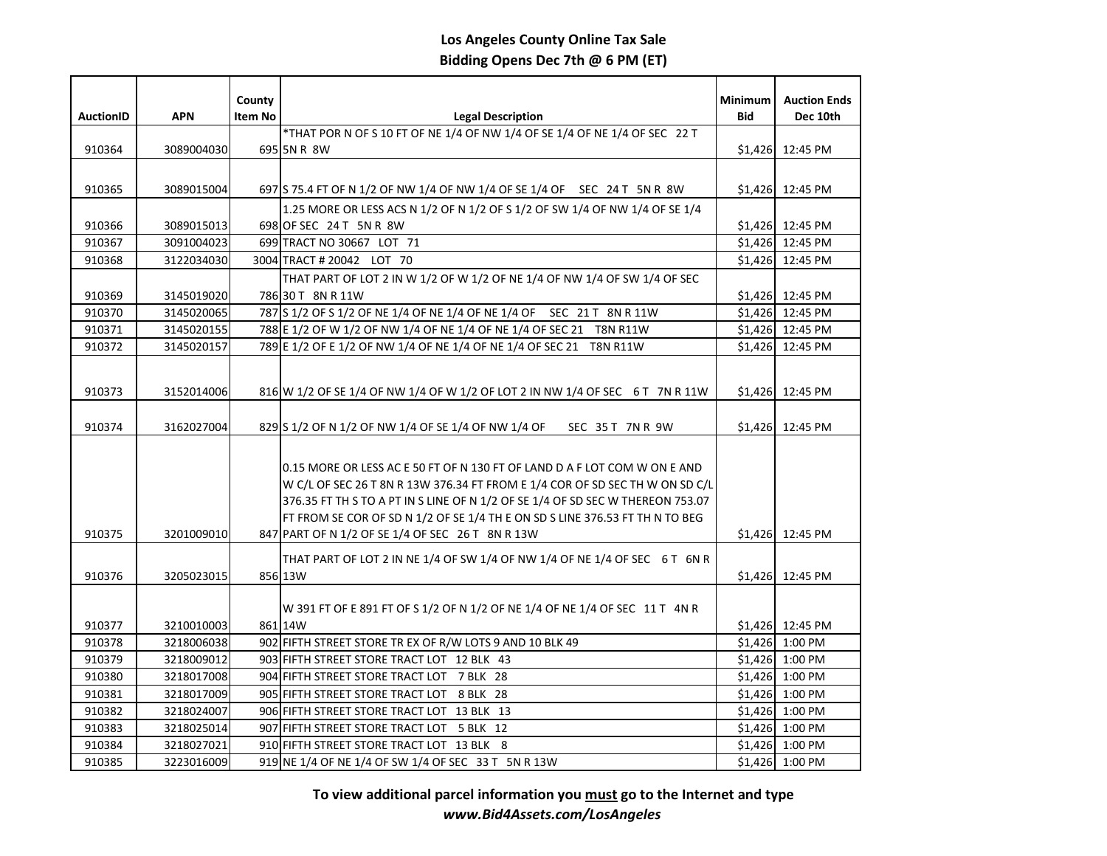|                  |            | County  |                                                                                | <b>Minimum</b> | <b>Auction Ends</b> |
|------------------|------------|---------|--------------------------------------------------------------------------------|----------------|---------------------|
| <b>AuctionID</b> | <b>APN</b> | Item No | <b>Legal Description</b>                                                       | <b>Bid</b>     | Dec 10th            |
|                  |            |         | *THAT POR N OF S 10 FT OF NE 1/4 OF NW 1/4 OF SE 1/4 OF NE 1/4 OF SEC 22 T     |                |                     |
| 910364           | 3089004030 |         | 695 5N R 8W                                                                    |                | \$1,426 12:45 PM    |
|                  |            |         |                                                                                |                |                     |
| 910365           | 3089015004 |         | 697 S 75.4 FT OF N 1/2 OF NW 1/4 OF NW 1/4 OF SE 1/4 OF SEC 24 T 5N R 8W       |                | \$1,426 12:45 PM    |
|                  |            |         | 1.25 MORE OR LESS ACS N 1/2 OF N 1/2 OF S 1/2 OF SW 1/4 OF NW 1/4 OF SE 1/4    |                |                     |
| 910366           | 3089015013 |         | 698 OF SEC 24 T 5N R 8W                                                        |                | \$1,426 12:45 PM    |
| 910367           | 3091004023 |         | 699 TRACT NO 30667 LOT 71                                                      |                | $$1,426$ 12:45 PM   |
| 910368           | 3122034030 |         | 3004 TRACT # 20042 LOT 70                                                      |                | \$1,426 12:45 PM    |
|                  |            |         | THAT PART OF LOT 2 IN W 1/2 OF W 1/2 OF NE 1/4 OF NW 1/4 OF SW 1/4 OF SEC      |                |                     |
| 910369           | 3145019020 |         | 786 30 T 8N R 11W                                                              |                | \$1,426 12:45 PM    |
| 910370           | 3145020065 |         | 787 S 1/2 OF S 1/2 OF NE 1/4 OF NE 1/4 OF NE 1/4 OF SEC 21 T 8N R 11W          |                | \$1,426 12:45 PM    |
| 910371           | 3145020155 |         | 788 E 1/2 OF W 1/2 OF NW 1/4 OF NE 1/4 OF NE 1/4 OF SEC 21 T8N R11W            |                | \$1,426 12:45 PM    |
| 910372           | 3145020157 |         | 789 E 1/2 OF E 1/2 OF NW 1/4 OF NE 1/4 OF NE 1/4 OF SEC 21 T8N R11W            |                | \$1,426 12:45 PM    |
|                  |            |         |                                                                                |                |                     |
|                  |            |         |                                                                                |                |                     |
| 910373           | 3152014006 |         | 816 W 1/2 OF SE 1/4 OF NW 1/4 OF W 1/2 OF LOT 2 IN NW 1/4 OF SEC 6 T 7N R 11W  |                | \$1,426 12:45 PM    |
| 910374           | 3162027004 |         | 829 S 1/2 OF N 1/2 OF NW 1/4 OF SE 1/4 OF NW 1/4 OF<br>SEC 35T 7NR 9W          |                | \$1,426 12:45 PM    |
|                  |            |         |                                                                                |                |                     |
|                  |            |         |                                                                                |                |                     |
|                  |            |         | 0.15 MORE OR LESS AC E 50 FT OF N 130 FT OF LAND D A F LOT COM W ON E AND      |                |                     |
|                  |            |         | W C/L OF SEC 26 T 8N R 13W 376.34 FT FROM E 1/4 COR OF SD SEC TH W ON SD C/L   |                |                     |
|                  |            |         | 376.35 FT TH S TO A PT IN S LINE OF N 1/2 OF SE 1/4 OF SD SEC W THEREON 753.07 |                |                     |
|                  |            |         | FT FROM SE COR OF SD N 1/2 OF SE 1/4 TH E ON SD S LINE 376.53 FT TH N TO BEG   |                |                     |
| 910375           | 3201009010 |         | 847 PART OF N 1/2 OF SE 1/4 OF SEC 26 T 8N R 13W                               |                | \$1,426 12:45 PM    |
|                  |            |         | THAT PART OF LOT 2 IN NE 1/4 OF SW 1/4 OF NW 1/4 OF NE 1/4 OF SEC 6 T 6N R     |                |                     |
| 910376           | 3205023015 |         | 856 13W                                                                        |                | \$1,426 12:45 PM    |
|                  |            |         |                                                                                |                |                     |
|                  |            |         | W 391 FT OF E 891 FT OF S 1/2 OF N 1/2 OF NE 1/4 OF NE 1/4 OF SEC 11 T 4N R    |                |                     |
| 910377           | 3210010003 |         | 861 14W                                                                        |                | \$1,426 12:45 PM    |
| 910378           | 3218006038 |         | 902 FIFTH STREET STORE TR EX OF R/W LOTS 9 AND 10 BLK 49                       |                | \$1,426 1:00 PM     |
| 910379           | 3218009012 |         | 903 FIFTH STREET STORE TRACT LOT 12 BLK 43                                     |                | \$1,426 1:00 PM     |
| 910380           | 3218017008 |         | 904 FIFTH STREET STORE TRACT LOT 7 BLK 28                                      | \$1,426        | 1:00 PM             |
| 910381           | 3218017009 |         | 905 FIFTH STREET STORE TRACT LOT 8 BLK 28                                      |                | \$1,426 1:00 PM     |
| 910382           | 3218024007 |         | 906 FIFTH STREET STORE TRACT LOT 13 BLK 13                                     | \$1,426        | 1:00 PM             |
| 910383           | 3218025014 |         | 907 FIFTH STREET STORE TRACT LOT 5 BLK 12                                      | \$1,426        | 1:00 PM             |
| 910384           | 3218027021 |         | 910 FIFTH STREET STORE TRACT LOT 13 BLK 8                                      |                | \$1,426 1:00 PM     |
| 910385           | 3223016009 |         | 919 NE 1/4 OF NE 1/4 OF SW 1/4 OF SEC 33 T 5N R 13W                            |                | \$1,426 1:00 PM     |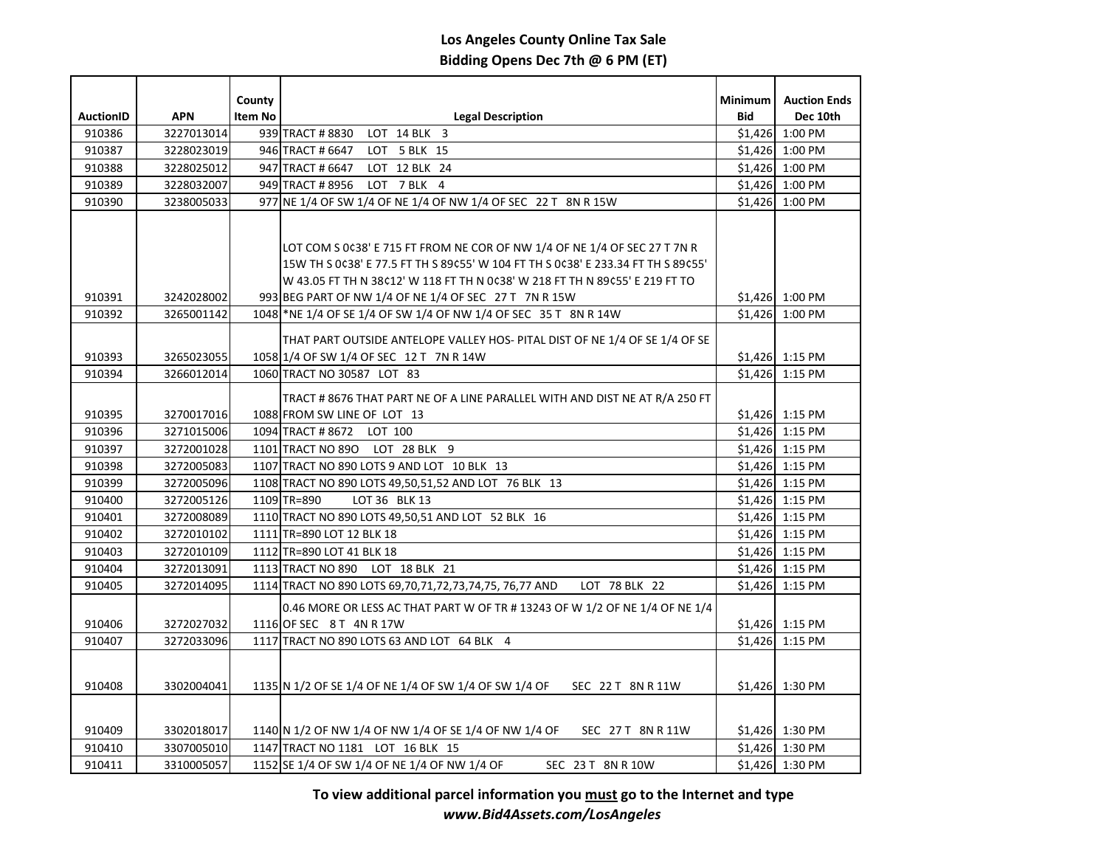| <b>AuctionID</b> | <b>APN</b> | County<br><b>Item No</b> | <b>Legal Description</b>                                                                                   | <b>Minimum</b><br><b>Bid</b> | <b>Auction Ends</b><br>Dec 10th |
|------------------|------------|--------------------------|------------------------------------------------------------------------------------------------------------|------------------------------|---------------------------------|
| 910386           | 3227013014 |                          | 939 TRACT #8830 LOT 14 BLK 3                                                                               |                              | \$1,426 1:00 PM                 |
| 910387           | 3228023019 |                          | 946 TRACT # 6647<br>LOT 5 BLK 15                                                                           |                              | \$1,426 1:00 PM                 |
| 910388           | 3228025012 |                          | 947 TRACT # 6647<br>LOT 12 BLK 24                                                                          |                              | $$1,426$ 1:00 PM                |
| 910389           | 3228032007 |                          | 949 TRACT # 8956<br>LOT 7 BLK 4                                                                            |                              | \$1,426 1:00 PM                 |
| 910390           | 3238005033 |                          | 977 NE 1/4 OF SW 1/4 OF NE 1/4 OF NW 1/4 OF SEC 22 T 8N R 15W                                              |                              | \$1,426 1:00 PM                 |
|                  |            |                          |                                                                                                            |                              |                                 |
|                  |            |                          |                                                                                                            |                              |                                 |
|                  |            |                          | LOT COM S 0¢38' E 715 FT FROM NE COR OF NW 1/4 OF NE 1/4 OF SEC 27 T 7N R                                  |                              |                                 |
|                  |            |                          | 15W TH S 0¢38' E 77.5 FT TH S 89¢55' W 104 FT TH S 0¢38' E 233.34 FT TH S 89¢55'                           |                              |                                 |
|                  |            |                          | W 43.05 FT TH N 38¢12' W 118 FT TH N 0¢38' W 218 FT TH N 89¢55' E 219 FT TO                                |                              |                                 |
| 910391           | 3242028002 |                          | 993 BEG PART OF NW 1/4 OF NE 1/4 OF SEC 27 T 7N R 15W                                                      |                              | $$1,426$ 1:00 PM                |
| 910392           | 3265001142 |                          | 1048 NE 1/4 OF SE 1/4 OF SW 1/4 OF NW 1/4 OF SEC 35 T 8N R 14W                                             |                              | \$1,426 1:00 PM                 |
|                  |            |                          | THAT PART OUTSIDE ANTELOPE VALLEY HOS- PITAL DIST OF NE 1/4 OF SE 1/4 OF SE                                |                              |                                 |
| 910393           | 3265023055 |                          | 1058 1/4 OF SW 1/4 OF SEC 12 T 7N R 14W                                                                    |                              | $$1,426$ 1:15 PM                |
| 910394           | 3266012014 |                          | 1060 TRACT NO 30587 LOT 83                                                                                 |                              | $$1,426$ 1:15 PM                |
|                  |            |                          |                                                                                                            |                              |                                 |
| 910395           | 3270017016 |                          | TRACT # 8676 THAT PART NE OF A LINE PARALLEL WITH AND DIST NE AT R/A 250 FT<br>1088 FROM SW LINE OF LOT 13 |                              | $$1,426$ 1:15 PM                |
| 910396           | 3271015006 |                          | 1094 TRACT #8672 LOT 100                                                                                   |                              | \$1,426 1:15 PM                 |
| 910397           | 3272001028 |                          | 1101 TRACT NO 890 LOT 28 BLK 9                                                                             |                              | $$1,426$ 1:15 PM                |
| 910398           | 3272005083 |                          | 1107 TRACT NO 890 LOTS 9 AND LOT 10 BLK 13                                                                 |                              | $$1,426$ 1:15 PM                |
| 910399           | 3272005096 |                          | 1108 TRACT NO 890 LOTS 49,50,51,52 AND LOT 76 BLK 13                                                       |                              | $$1,426$ 1:15 PM                |
| 910400           | 3272005126 |                          | 1109 TR=890<br>LOT 36 BLK 13                                                                               |                              | $$1,426$ 1:15 PM                |
| 910401           | 3272008089 |                          | 1110 TRACT NO 890 LOTS 49,50,51 AND LOT 52 BLK 16                                                          |                              | \$1,426 1:15 PM                 |
| 910402           | 3272010102 |                          | 1111 TR=890 LOT 12 BLK 18                                                                                  |                              | $$1,426$ 1:15 PM                |
| 910403           | 3272010109 |                          | 1112 TR=890 LOT 41 BLK 18                                                                                  |                              | $$1,426$ 1:15 PM                |
| 910404           | 3272013091 |                          | 1113 TRACT NO 890 LOT 18 BLK 21                                                                            |                              | $$1,426$ 1:15 PM                |
| 910405           | 3272014095 |                          | 1114 TRACT NO 890 LOTS 69,70,71,72,73,74,75, 76,77 AND<br>LOT 78 BLK 22                                    |                              | $$1,426$ 1:15 PM                |
|                  |            |                          | 0.46 MORE OR LESS AC THAT PART W OF TR # 13243 OF W 1/2 OF NE 1/4 OF NE 1/4                                |                              |                                 |
| 910406           | 3272027032 |                          | 1116 OF SEC 8 T 4N R 17W                                                                                   |                              | $$1,426$ 1:15 PM                |
| 910407           | 3272033096 |                          | 1117 TRACT NO 890 LOTS 63 AND LOT 64 BLK 4                                                                 |                              | $$1,426$ 1:15 PM                |
|                  |            |                          |                                                                                                            |                              |                                 |
|                  |            |                          |                                                                                                            |                              |                                 |
| 910408           | 3302004041 |                          | 1135 N 1/2 OF SE 1/4 OF NE 1/4 OF SW 1/4 OF SW 1/4 OF<br>SEC 22 T 8N R 11W                                 |                              | $$1,426$ 1:30 PM                |
|                  |            |                          |                                                                                                            |                              |                                 |
|                  |            |                          |                                                                                                            |                              |                                 |
| 910409           | 3302018017 |                          | 1140 N 1/2 OF NW 1/4 OF NW 1/4 OF SE 1/4 OF NW 1/4 OF<br>SEC 27 T 8N R 11W                                 |                              | \$1,426 1:30 PM                 |
| 910410           | 3307005010 |                          | 1147 TRACT NO 1181 LOT 16 BLK 15                                                                           |                              | \$1,426 1:30 PM                 |
| 910411           | 3310005057 |                          | 1152 SE 1/4 OF SW 1/4 OF NE 1/4 OF NW 1/4 OF<br>SEC 23 T 8N R 10W                                          |                              | \$1,426 1:30 PM                 |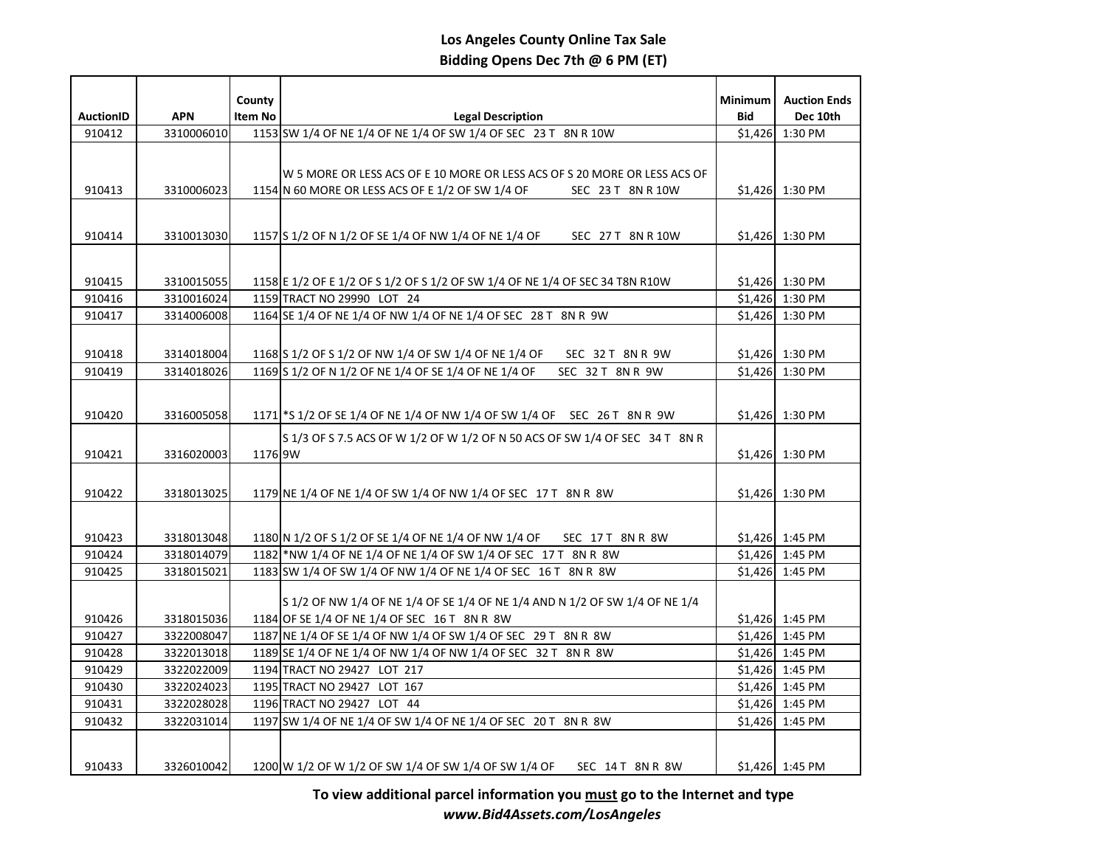|                  |            | County  |                                                                              | <b>Minimum</b> | <b>Auction Ends</b> |
|------------------|------------|---------|------------------------------------------------------------------------------|----------------|---------------------|
| <b>AuctionID</b> | <b>APN</b> | Item No | <b>Legal Description</b>                                                     | <b>Bid</b>     | Dec 10th            |
| 910412           | 3310006010 |         | 1153 SW 1/4 OF NE 1/4 OF NE 1/4 OF SW 1/4 OF SEC 23 T 8N R 10W               | \$1,426        | 1:30 PM             |
|                  |            |         |                                                                              |                |                     |
|                  |            |         | W 5 MORE OR LESS ACS OF E 10 MORE OR LESS ACS OF S 20 MORE OR LESS ACS OF    |                |                     |
| 910413           | 3310006023 |         | 1154 N 60 MORE OR LESS ACS OF E 1/2 OF SW 1/4 OF<br>SEC 23 T 8N R 10W        |                | \$1,426 1:30 PM     |
|                  |            |         |                                                                              |                |                     |
|                  |            |         |                                                                              |                |                     |
| 910414           | 3310013030 |         | 1157 S 1/2 OF N 1/2 OF SE 1/4 OF NW 1/4 OF NE 1/4 OF<br>SEC 27 T 8N R 10W    |                | \$1,426 1:30 PM     |
|                  |            |         |                                                                              |                |                     |
| 910415           | 3310015055 |         | 1158 E 1/2 OF E 1/2 OF S 1/2 OF S 1/2 OF SW 1/4 OF NE 1/4 OF SEC 34 T8N R10W |                | \$1,426 1:30 PM     |
| 910416           | 3310016024 |         | 1159 TRACT NO 29990 LOT 24                                                   |                | \$1,426 1:30 PM     |
| 910417           | 3314006008 |         | 1164 SE 1/4 OF NE 1/4 OF NW 1/4 OF NE 1/4 OF SEC 28 T 8N R 9W                |                | \$1,426 1:30 PM     |
|                  |            |         |                                                                              |                |                     |
| 910418           | 3314018004 |         | 1168 S 1/2 OF S 1/2 OF NW 1/4 OF SW 1/4 OF NE 1/4 OF<br>SEC 32 T 8N R 9W     |                | \$1,426 1:30 PM     |
| 910419           | 3314018026 |         | 1169 S 1/2 OF N 1/2 OF NE 1/4 OF SE 1/4 OF NE 1/4 OF<br>SEC 32 T 8N R 9W     |                | \$1,426 1:30 PM     |
|                  |            |         |                                                                              |                |                     |
|                  |            |         |                                                                              |                |                     |
| 910420           | 3316005058 |         | 1171 S 1/2 OF SE 1/4 OF NE 1/4 OF NW 1/4 OF SW 1/4 OF SEC 26 T 8N R 9W       |                | \$1,426 1:30 PM     |
|                  |            |         | S 1/3 OF S 7.5 ACS OF W 1/2 OF W 1/2 OF N 50 ACS OF SW 1/4 OF SEC 34 T 8N R  |                |                     |
| 910421           | 3316020003 | 1176 9W |                                                                              |                | \$1,426 1:30 PM     |
|                  |            |         |                                                                              |                |                     |
| 910422           | 3318013025 |         | 1179 NE 1/4 OF NE 1/4 OF SW 1/4 OF NW 1/4 OF SEC 17 T 8N R 8W                |                | \$1,426 1:30 PM     |
|                  |            |         |                                                                              |                |                     |
| 910423           | 3318013048 |         | 1180 N 1/2 OF S 1/2 OF SE 1/4 OF NE 1/4 OF NW 1/4 OF SEC 17 T 8N R 8W        |                | $$1,426$ 1:45 PM    |
| 910424           | 3318014079 |         | 1182 NW 1/4 OF NE 1/4 OF NE 1/4 OF SW 1/4 OF SEC 17 T 8N R 8W                |                | \$1,426 1:45 PM     |
| 910425           | 3318015021 |         | 1183 SW 1/4 OF SW 1/4 OF NW 1/4 OF NE 1/4 OF SEC 16 T 8N R 8W                |                | \$1,426 1:45 PM     |
|                  |            |         |                                                                              |                |                     |
|                  |            |         | S 1/2 OF NW 1/4 OF NE 1/4 OF SE 1/4 OF NE 1/4 AND N 1/2 OF SW 1/4 OF NE 1/4  |                |                     |
| 910426           | 3318015036 |         | 1184 OF SE 1/4 OF NE 1/4 OF SEC 16 T 8N R 8W                                 |                | $$1,426$ 1:45 PM    |
| 910427           | 3322008047 |         | 1187 NE 1/4 OF SE 1/4 OF NW 1/4 OF SW 1/4 OF SEC 29 T 8N R 8W                |                | \$1,426 1:45 PM     |
| 910428           | 3322013018 |         | 1189 SE 1/4 OF NE 1/4 OF NW 1/4 OF NW 1/4 OF SEC 32 T 8N R 8W                |                | $$1,426$ 1:45 PM    |
| 910429           | 3322022009 |         | 1194 TRACT NO 29427 LOT 217                                                  |                | $$1,426$ 1:45 PM    |
| 910430           | 3322024023 |         | 1195 TRACT NO 29427 LOT 167                                                  |                | $$1,426$ 1:45 PM    |
| 910431           | 3322028028 |         | 1196 TRACT NO 29427 LOT 44                                                   |                | $$1,426$ 1:45 PM    |
| 910432           | 3322031014 |         | 1197 SW 1/4 OF NE 1/4 OF SW 1/4 OF NE 1/4 OF SEC 20 T 8N R 8W                |                | \$1,426 1:45 PM     |
|                  |            |         |                                                                              |                |                     |
| 910433           | 3326010042 |         | 1200 W 1/2 OF W 1/2 OF SW 1/4 OF SW 1/4 OF SW 1/4 OF<br>SEC 14T 8N R 8W      |                | $$1,426$ 1:45 PM    |
|                  |            |         |                                                                              |                |                     |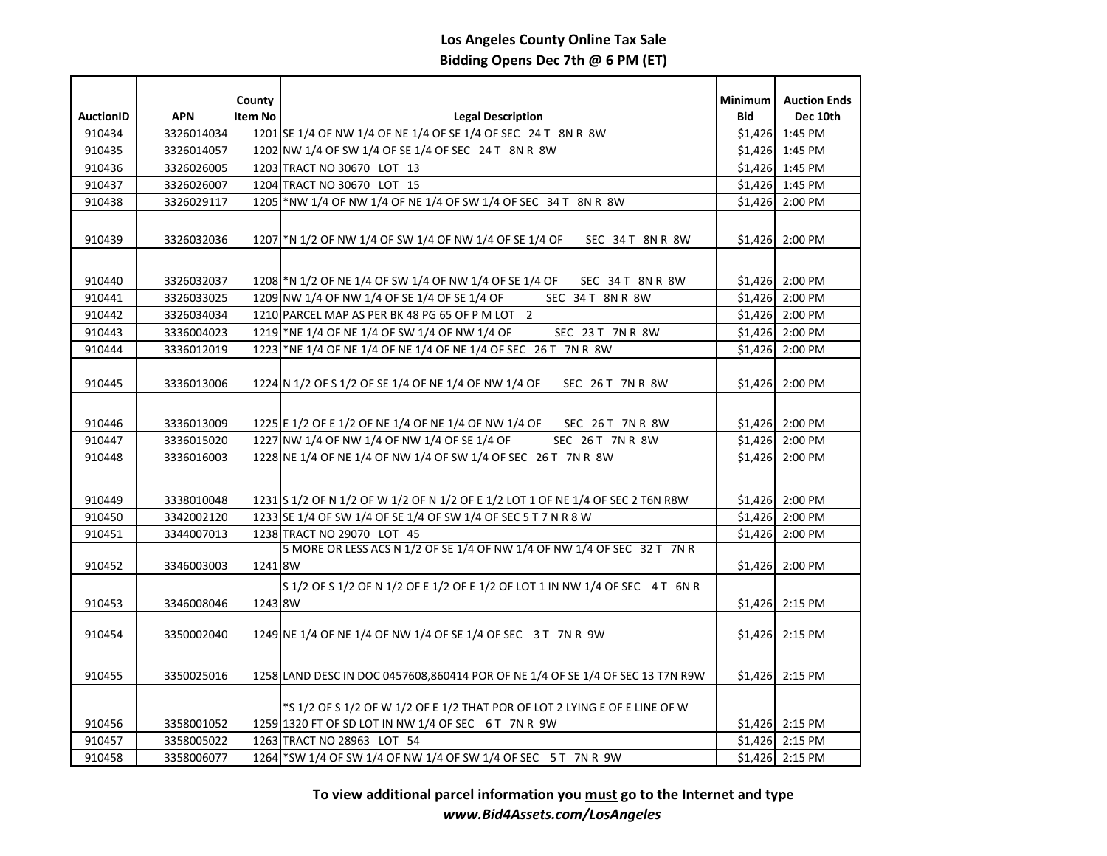| <b>AuctionID</b> | <b>APN</b> | County<br>Item No | <b>Legal Description</b>                                                        | <b>Minimum</b><br>Bid | <b>Auction Ends</b><br>Dec 10th |
|------------------|------------|-------------------|---------------------------------------------------------------------------------|-----------------------|---------------------------------|
| 910434           | 3326014034 |                   | 1201 SE 1/4 OF NW 1/4 OF NE 1/4 OF SE 1/4 OF SEC 24 T 8N R 8W                   | \$1,426               | 1:45 PM                         |
| 910435           | 3326014057 |                   | 1202 NW 1/4 OF SW 1/4 OF SE 1/4 OF SEC 24 T 8N R 8W                             |                       | \$1,426 1:45 PM                 |
| 910436           | 3326026005 |                   | 1203 TRACT NO 30670 LOT 13                                                      |                       | $$1,426$ 1:45 PM                |
| 910437           | 3326026007 |                   | 1204 TRACT NO 30670 LOT 15                                                      |                       | $$1,426$ 1:45 PM                |
| 910438           | 3326029117 |                   | 1205 NW 1/4 OF NW 1/4 OF NE 1/4 OF SW 1/4 OF SEC 34 T 8N R 8W                   | \$1,426               | 2:00 PM                         |
|                  |            |                   |                                                                                 |                       |                                 |
| 910439           | 3326032036 |                   | 1207 * N 1/2 OF NW 1/4 OF SW 1/4 OF NW 1/4 OF SE 1/4 OF<br>SEC 34T 8NR 8W       |                       | \$1,426 2:00 PM                 |
|                  |            |                   |                                                                                 |                       |                                 |
|                  |            |                   |                                                                                 |                       |                                 |
| 910440           | 3326032037 |                   | 1208 * N 1/2 OF NE 1/4 OF SW 1/4 OF NW 1/4 OF SE 1/4 OF<br>SEC 34T 8NR 8W       |                       | \$1,426 2:00 PM                 |
| 910441           | 3326033025 |                   | 1209 NW 1/4 OF NW 1/4 OF SE 1/4 OF SE 1/4 OF<br>SEC 34T 8NR 8W                  |                       | \$1,426 2:00 PM                 |
| 910442           | 3326034034 |                   | 1210 PARCEL MAP AS PER BK 48 PG 65 OF P M LOT 2                                 |                       | $$1,426$ 2:00 PM                |
| 910443           | 3336004023 |                   | 1219 * NE 1/4 OF NE 1/4 OF SW 1/4 OF NW 1/4 OF<br>SEC 23 T 7N R 8W              |                       | $$1,426$ 2:00 PM                |
| 910444           | 3336012019 |                   | 1223 NE 1/4 OF NE 1/4 OF NE 1/4 OF NE 1/4 OF SEC 26 T 7N R 8W                   | \$1,426               | 2:00 PM                         |
|                  |            |                   |                                                                                 |                       |                                 |
| 910445           | 3336013006 |                   | 1224 N 1/2 OF S 1/2 OF SE 1/4 OF NE 1/4 OF NW 1/4 OF<br>SEC 26 T 7N R 8W        |                       | \$1,426 2:00 PM                 |
|                  |            |                   |                                                                                 |                       |                                 |
| 910446           | 3336013009 |                   | 1225 E 1/2 OF E 1/2 OF NE 1/4 OF NE 1/4 OF NW 1/4 OF<br>SEC 26T 7NR 8W          |                       | \$1,426 2:00 PM                 |
| 910447           | 3336015020 |                   | 1227 NW 1/4 OF NW 1/4 OF NW 1/4 OF SE 1/4 OF<br>SEC 26T 7NR 8W                  |                       | \$1,426 2:00 PM                 |
| 910448           | 3336016003 |                   | 1228 NE 1/4 OF NE 1/4 OF NW 1/4 OF SW 1/4 OF SEC 26 T 7N R 8W                   | \$1,426               | 2:00 PM                         |
|                  |            |                   |                                                                                 |                       |                                 |
| 910449           | 3338010048 |                   | 1231 S 1/2 OF N 1/2 OF W 1/2 OF N 1/2 OF E 1/2 LOT 1 OF NE 1/4 OF SEC 2 T6N R8W |                       | \$1,426 2:00 PM                 |
| 910450           | 3342002120 |                   | 1233 SE 1/4 OF SW 1/4 OF SE 1/4 OF SW 1/4 OF SEC 5 T 7 N R 8 W                  | \$1,426               | 2:00 PM                         |
| 910451           | 3344007013 |                   | 1238 TRACT NO 29070 LOT 45                                                      | \$1.426               | 2:00 PM                         |
|                  |            |                   | 5 MORE OR LESS ACS N 1/2 OF SE 1/4 OF NW 1/4 OF NW 1/4 OF SEC 32 T 7N R         |                       |                                 |
| 910452           | 3346003003 | 1241 8W           |                                                                                 | \$1,426               | 2:00 PM                         |
|                  |            |                   | S 1/2 OF S 1/2 OF N 1/2 OF E 1/2 OF E 1/2 OF LOT 1 IN NW 1/4 OF SEC 4 T 6N R    |                       |                                 |
| 910453           | 3346008046 | 1243 8W           |                                                                                 |                       | $$1,426$ 2:15 PM                |
|                  |            |                   |                                                                                 |                       |                                 |
| 910454           | 3350002040 |                   | 1249 NE 1/4 OF NE 1/4 OF NW 1/4 OF SE 1/4 OF SEC 3 T 7N R 9W                    |                       | $$1,426$ 2:15 PM                |
|                  |            |                   |                                                                                 |                       |                                 |
| 910455           |            |                   |                                                                                 |                       | \$1,426 2:15 PM                 |
|                  | 3350025016 |                   | 1258 LAND DESC IN DOC 0457608,860414 POR OF NE 1/4 OF SE 1/4 OF SEC 13 T7N R9W  |                       |                                 |
|                  |            |                   | $*$ S 1/2 OF S 1/2 OF W 1/2 OF E 1/2 THAT POR OF LOT 2 LYING E OF E LINE OF W   |                       |                                 |
| 910456           | 3358001052 |                   | 1259 1320 FT OF SD LOT IN NW 1/4 OF SEC 6 T 7N R 9W                             |                       | $$1,426$ 2:15 PM                |
| 910457           | 3358005022 |                   | 1263 TRACT NO 28963 LOT 54                                                      |                       | \$1,426 2:15 PM                 |
| 910458           | 3358006077 |                   | 1264 SW 1/4 OF SW 1/4 OF NW 1/4 OF SW 1/4 OF SEC 5 T 7N R 9W                    |                       | \$1,426 2:15 PM                 |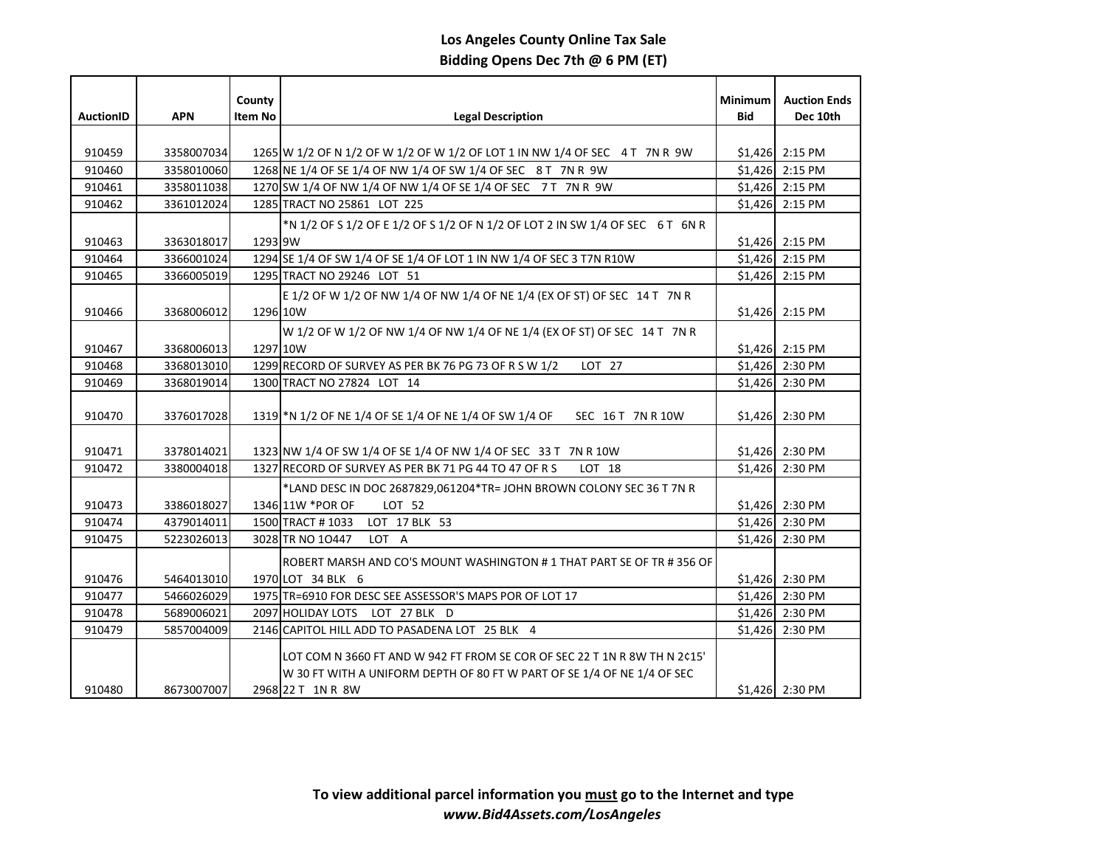|                  |            | County   |                                                                               | <b>Minimum</b> | <b>Auction Ends</b> |
|------------------|------------|----------|-------------------------------------------------------------------------------|----------------|---------------------|
| <b>AuctionID</b> | <b>APN</b> | Item No  | <b>Legal Description</b>                                                      | <b>Bid</b>     | Dec 10th            |
|                  |            |          |                                                                               |                |                     |
| 910459           | 3358007034 |          | 1265 W 1/2 OF N 1/2 OF W 1/2 OF W 1/2 OF LOT 1 IN NW 1/4 OF SEC 4 T 7N R 9W   |                | $$1,426$ 2:15 PM    |
| 910460           | 3358010060 |          | 1268 NE 1/4 OF SE 1/4 OF NW 1/4 OF SW 1/4 OF SEC 8 T 7N R 9W                  |                | $$1,426$ 2:15 PM    |
| 910461           | 3358011038 |          | 1270 SW 1/4 OF NW 1/4 OF NW 1/4 OF SE 1/4 OF SEC 7 T 7 N R 9 W                |                | $$1,426$ 2:15 PM    |
| 910462           | 3361012024 |          | 1285 TRACT NO 25861 LOT 225                                                   | \$1,426        | 2:15 PM             |
|                  |            |          | *N 1/2 OF S 1/2 OF E 1/2 OF S 1/2 OF N 1/2 OF LOT 2 IN SW 1/4 OF SEC 6 T 6N R |                |                     |
| 910463           | 3363018017 | 1293 9W  |                                                                               |                | \$1,426 2:15 PM     |
| 910464           | 3366001024 |          | 1294 SE 1/4 OF SW 1/4 OF SE 1/4 OF LOT 1 IN NW 1/4 OF SEC 3 T7N R10W          | \$1,426        | 2:15 PM             |
| 910465           | 3366005019 |          | 1295 TRACT NO 29246 LOT 51                                                    | \$1,426        | 2:15 PM             |
|                  |            |          | E 1/2 OF W 1/2 OF NW 1/4 OF NW 1/4 OF NE 1/4 (EX OF ST) OF SEC 14 T 7N R      |                |                     |
| 910466           | 3368006012 | 1296 10W |                                                                               | \$1,426        | 2:15 PM             |
|                  |            |          | W 1/2 OF W 1/2 OF NW 1/4 OF NW 1/4 OF NE 1/4 (EX OF ST) OF SEC 14 T 7N R      |                |                     |
| 910467           | 3368006013 | 1297 10W |                                                                               |                | $$1,426$ 2:15 PM    |
| 910468           | 3368013010 |          | 1299 RECORD OF SURVEY AS PER BK 76 PG 73 OF R S W 1/2<br>LOT 27               | \$1,426        | 2:30 PM             |
| 910469           | 3368019014 |          | 1300 TRACT NO 27824 LOT 14                                                    | \$1,426        | 2:30 PM             |
|                  |            |          |                                                                               |                |                     |
| 910470           | 3376017028 |          | 1319 * N 1/2 OF NE 1/4 OF SE 1/4 OF NE 1/4 OF SW 1/4 OF<br>SEC 16 T 7N R 10W  | \$1,426        | 2:30 PM             |
|                  |            |          |                                                                               |                |                     |
| 910471           | 3378014021 |          | 1323 NW 1/4 OF SW 1/4 OF SE 1/4 OF NW 1/4 OF SEC 33 T 7N R 10W                |                | $$1,426$ 2:30 PM    |
| 910472           | 3380004018 |          | 1327 RECORD OF SURVEY AS PER BK 71 PG 44 TO 47 OF R S<br>LOT 18               |                | \$1,426 2:30 PM     |
|                  |            |          | *LAND DESC IN DOC 2687829,061204*TR= JOHN BROWN COLONY SEC 36 T 7N R          |                |                     |
| 910473           | 3386018027 |          | 1346 11W *POR OF<br>LOT 52                                                    |                | \$1,426 2:30 PM     |
| 910474           | 4379014011 |          | LOT 17 BLK 53<br>1500 TRACT # 1033                                            |                | \$1,426 2:30 PM     |
| 910475           | 5223026013 |          | 3028 TR NO 10447<br>LOT A                                                     | \$1,426        | 2:30 PM             |
|                  |            |          | ROBERT MARSH AND CO'S MOUNT WASHINGTON # 1 THAT PART SE OF TR # 356 OF        |                |                     |
| 910476           | 5464013010 |          | 1970 LOT 34 BLK 6                                                             |                | \$1,426 2:30 PM     |
| 910477           | 5466026029 |          | 1975 TR=6910 FOR DESC SEE ASSESSOR'S MAPS POR OF LOT 17                       |                | \$1,426 2:30 PM     |
| 910478           | 5689006021 |          | 2097 HOLIDAY LOTS LOT 27 BLK D                                                |                | \$1,426 2:30 PM     |
| 910479           | 5857004009 |          | 2146 CAPITOL HILL ADD TO PASADENA LOT 25 BLK 4                                |                | \$1,426 2:30 PM     |
|                  |            |          |                                                                               |                |                     |
|                  |            |          | LOT COM N 3660 FT AND W 942 FT FROM SE COR OF SEC 22 T 1N R 8W TH N 2¢15'     |                |                     |
|                  |            |          | W 30 FT WITH A UNIFORM DEPTH OF 80 FT W PART OF SE 1/4 OF NE 1/4 OF SEC       |                |                     |
| 910480           | 8673007007 |          | 2968 22 T 1N R 8W                                                             |                | \$1,426 2:30 PM     |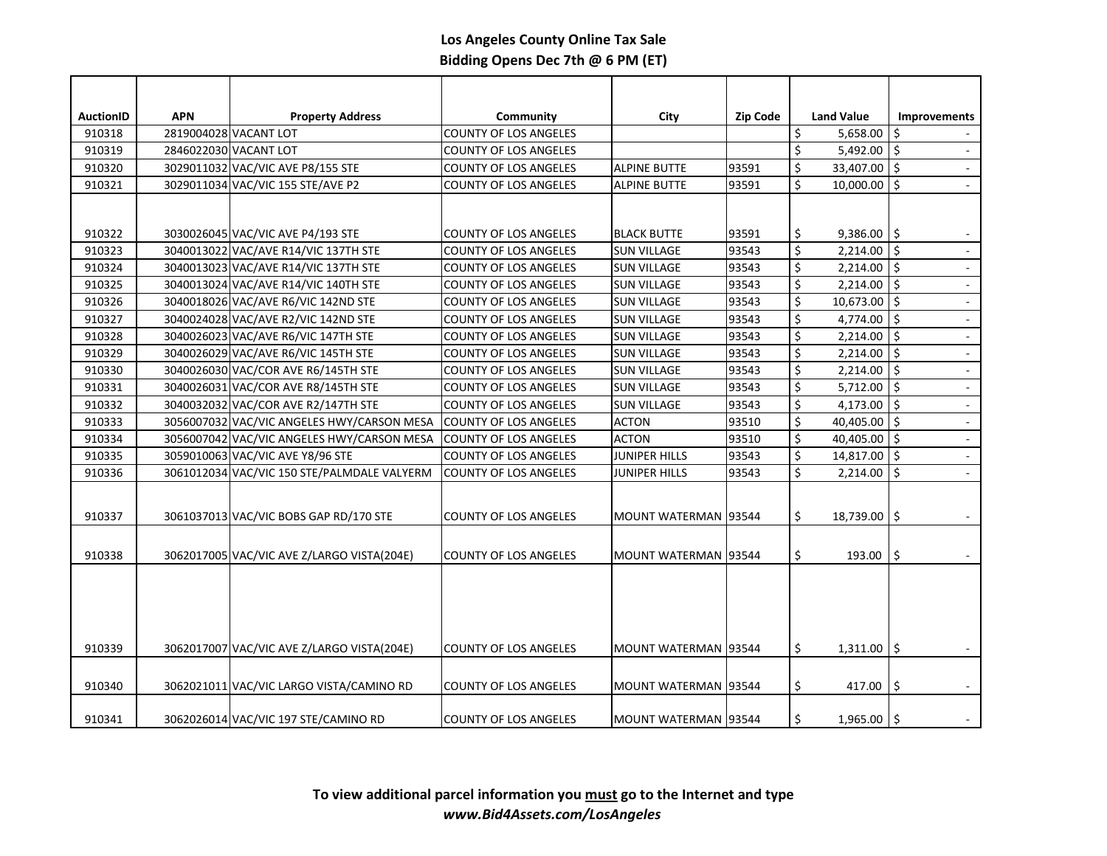| <b>AuctionID</b> | <b>APN</b> | <b>Property Address</b>                     | Community                    | City                   | <b>Zip Code</b> | <b>Land Value</b>          | <b>Improvements</b>            |
|------------------|------------|---------------------------------------------|------------------------------|------------------------|-----------------|----------------------------|--------------------------------|
| 910318           |            | 2819004028 VACANT LOT                       | <b>COUNTY OF LOS ANGELES</b> |                        |                 | \$<br>5,658.00             | \$                             |
| 910319           |            | 2846022030 VACANT LOT                       | <b>COUNTY OF LOS ANGELES</b> |                        |                 | \$<br>$5,492.00$ \$        | $\omega$                       |
| 910320           |            | 3029011032 VAC/VIC AVE P8/155 STE           | <b>COUNTY OF LOS ANGELES</b> | <b>ALPINE BUTTE</b>    | 93591           | \$<br>33,407.00 \$         | $\overline{\phantom{a}}$       |
| 910321           |            | 3029011034 VAC/VIC 155 STE/AVE P2           | <b>COUNTY OF LOS ANGELES</b> | <b>ALPINE BUTTE</b>    | 93591           | \$<br>$10,000.00$ \$       | $\mathcal{L}$                  |
|                  |            |                                             |                              |                        |                 |                            |                                |
|                  |            |                                             |                              |                        |                 |                            |                                |
| 910322           |            | 3030026045 VAC/VIC AVE P4/193 STE           | <b>COUNTY OF LOS ANGELES</b> | <b>BLACK BUTTE</b>     | 93591           | \$<br>$9,386.00$ \$        |                                |
| 910323           |            | 3040013022 VAC/AVE R14/VIC 137TH STE        | COUNTY OF LOS ANGELES        | <b>SUN VILLAGE</b>     | 93543           | \$<br>$2,214.00$ \$        |                                |
| 910324           |            | 3040013023 VAC/AVE R14/VIC 137TH STE        | <b>COUNTY OF LOS ANGELES</b> | <b>SUN VILLAGE</b>     | 93543           | \$<br>$2,214.00$ \$        | $\blacksquare$                 |
| 910325           |            | 3040013024 VAC/AVE R14/VIC 140TH STE        | <b>COUNTY OF LOS ANGELES</b> | <b>SUN VILLAGE</b>     | 93543           | \$<br>2,214.00             | \$<br>$\overline{\phantom{a}}$ |
| 910326           |            | 3040018026 VAC/AVE R6/VIC 142ND STE         | <b>COUNTY OF LOS ANGELES</b> | <b>SUN VILLAGE</b>     | 93543           | \$<br>10,673.00 \$         | $\overline{\phantom{a}}$       |
| 910327           |            | 3040024028 VAC/AVE R2/VIC 142ND STE         | <b>COUNTY OF LOS ANGELES</b> | <b>SUN VILLAGE</b>     | 93543           | \$<br>4,774.00 $\vert$ \$  |                                |
| 910328           |            | 3040026023 VAC/AVE R6/VIC 147TH STE         | COUNTY OF LOS ANGELES        | <b>SUN VILLAGE</b>     | 93543           | \$<br>$2,214.00$ \$        |                                |
| 910329           |            | 3040026029 VAC/AVE R6/VIC 145TH STE         | <b>COUNTY OF LOS ANGELES</b> | <b>SUN VILLAGE</b>     | 93543           | \$<br>$2,214.00$ \$        | $\Box$                         |
| 910330           |            | 3040026030 VAC/COR AVE R6/145TH STE         | <b>COUNTY OF LOS ANGELES</b> | <b>SUN VILLAGE</b>     | 93543           | \$<br>$2,214.00$ \$        |                                |
| 910331           |            | 3040026031 VAC/COR AVE R8/145TH STE         | COUNTY OF LOS ANGELES        | <b>SUN VILLAGE</b>     | 93543           | \$<br>5,712.00             | \$<br>$\overline{\phantom{a}}$ |
| 910332           |            | 3040032032 VAC/COR AVE R2/147TH STE         | <b>COUNTY OF LOS ANGELES</b> | <b>SUN VILLAGE</b>     | 93543           | \$<br>4,173.00 $\vert$ \$  | L,                             |
| 910333           |            | 3056007032 VAC/VIC ANGELES HWY/CARSON MESA  | <b>COUNTY OF LOS ANGELES</b> | <b>ACTON</b>           | 93510           | \$<br>40,405.00 $\vert$ \$ | $\omega$                       |
| 910334           |            | 3056007042 VAC/VIC ANGELES HWY/CARSON MESA  | COUNTY OF LOS ANGELES        | <b>ACTON</b>           | 93510           | \$<br>40,405.00 \$         | $\Box$                         |
| 910335           |            | 3059010063 VAC/VIC AVE Y8/96 STE            | COUNTY OF LOS ANGELES        | <b>JUNIPER HILLS</b>   | 93543           | \$<br>$14,817.00$ \$       | $\mathcal{L}$                  |
| 910336           |            | 3061012034 VAC/VIC 150 STE/PALMDALE VALYERM | <b>COUNTY OF LOS ANGELES</b> | <b>JUNIPER HILLS</b>   | 93543           | \$<br>$2,214.00$ \$        | $\mathbb{Z}^2$                 |
|                  |            |                                             |                              |                        |                 |                            |                                |
| 910337           |            | 3061037013 VAC/VIC BOBS GAP RD/170 STE      | <b>COUNTY OF LOS ANGELES</b> | MOUNT WATERMAN   93544 |                 | \$<br>18,739.00            | \$                             |
|                  |            |                                             |                              |                        |                 |                            |                                |
| 910338           |            | 3062017005 VAC/VIC AVE Z/LARGO VISTA(204E)  | <b>COUNTY OF LOS ANGELES</b> | MOUNT WATERMAN   93544 |                 | \$<br>193.00               | \$                             |
|                  |            |                                             |                              |                        |                 |                            |                                |
|                  |            |                                             |                              |                        |                 |                            |                                |
|                  |            |                                             |                              |                        |                 |                            |                                |
|                  |            |                                             |                              |                        |                 |                            |                                |
|                  |            |                                             |                              |                        |                 |                            |                                |
| 910339           |            | 3062017007 VAC/VIC AVE Z/LARGO VISTA(204E)  | <b>COUNTY OF LOS ANGELES</b> | MOUNT WATERMAN   93544 |                 | \$<br>$1,311.00$ \$        |                                |
|                  |            |                                             |                              |                        |                 |                            |                                |
| 910340           |            | 3062021011 VAC/VIC LARGO VISTA/CAMINO RD    | <b>COUNTY OF LOS ANGELES</b> | MOUNT WATERMAN 93544   |                 | \$<br>417.00               | \$                             |
|                  |            |                                             |                              |                        |                 |                            |                                |
| 910341           |            | 3062026014 VAC/VIC 197 STE/CAMINO RD        | <b>COUNTY OF LOS ANGELES</b> | MOUNT WATERMAN   93544 |                 | \$<br>$1,965.00$ \$        |                                |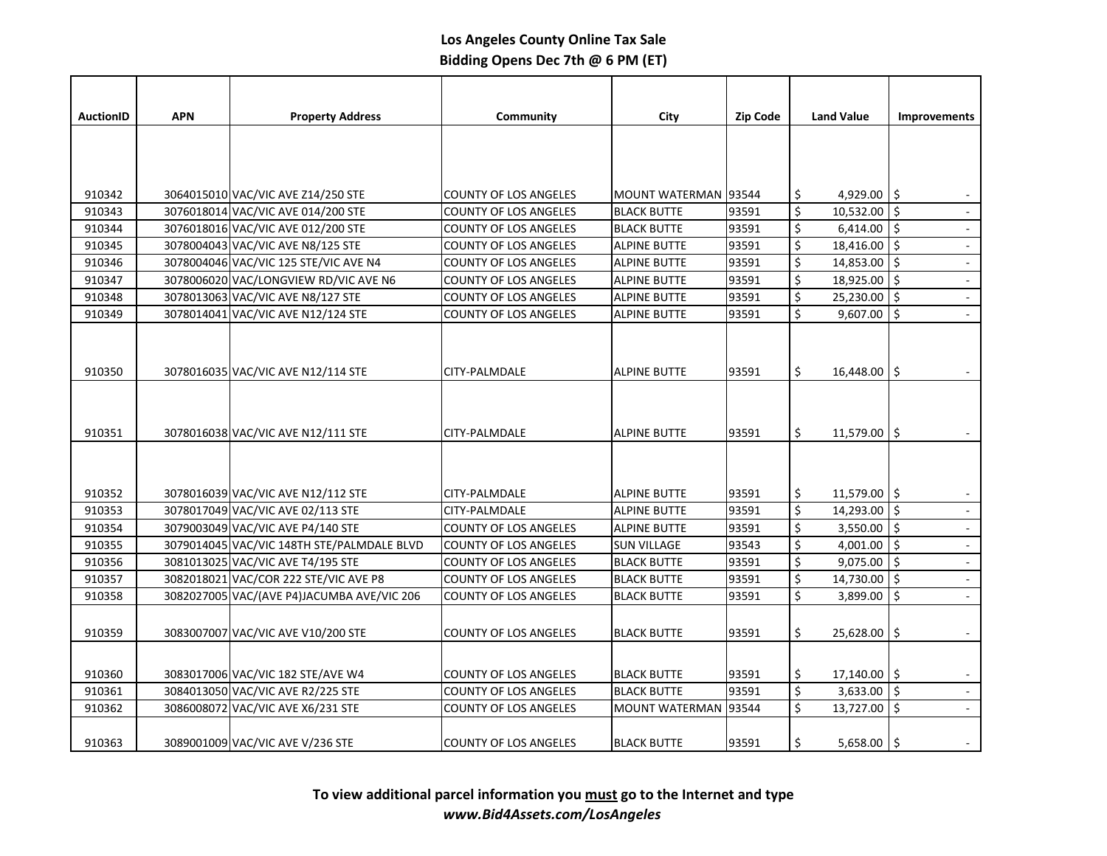| <b>AuctionID</b> | <b>APN</b> | <b>Property Address</b>                    | Community                    | City                   | Zip Code | <b>Land Value</b>         | <b>Improvements</b> |
|------------------|------------|--------------------------------------------|------------------------------|------------------------|----------|---------------------------|---------------------|
|                  |            |                                            |                              |                        |          |                           |                     |
|                  |            |                                            |                              |                        |          |                           |                     |
|                  |            |                                            |                              |                        |          |                           |                     |
| 910342           |            | 3064015010 VAC/VIC AVE Z14/250 STE         | <b>COUNTY OF LOS ANGELES</b> | MOUNT WATERMAN   93544 |          | \$<br>4,929.00 \$         |                     |
| 910343           |            | 3076018014 VAC/VIC AVE 014/200 STE         | <b>COUNTY OF LOS ANGELES</b> | <b>BLACK BUTTE</b>     | 93591    | \$<br>$10,532.00$ \$      |                     |
| 910344           |            | 3076018016 VAC/VIC AVE 012/200 STE         | <b>COUNTY OF LOS ANGELES</b> | <b>BLACK BUTTE</b>     | 93591    | \$<br>$6,414.00$ \$       |                     |
| 910345           |            | 3078004043 VAC/VIC AVE N8/125 STE          | <b>COUNTY OF LOS ANGELES</b> | <b>ALPINE BUTTE</b>    | 93591    | \$<br>18,416.00 \$        | $\mathbb{Z}^2$      |
| 910346           |            | 3078004046 VAC/VIC 125 STE/VIC AVE N4      | <b>COUNTY OF LOS ANGELES</b> | <b>ALPINE BUTTE</b>    | 93591    | \$<br>$14,853.00$ \$      | $\omega$            |
| 910347           |            | 3078006020 VAC/LONGVIEW RD/VIC AVE N6      | <b>COUNTY OF LOS ANGELES</b> | <b>ALPINE BUTTE</b>    | 93591    | \$<br>$18,925.00$ \$      | $\omega$            |
| 910348           |            | 3078013063 VAC/VIC AVE N8/127 STE          | <b>COUNTY OF LOS ANGELES</b> | <b>ALPINE BUTTE</b>    | 93591    | \$<br>$25,230.00$ \$      | $\blacksquare$      |
| 910349           |            | 3078014041 VAC/VIC AVE N12/124 STE         | <b>COUNTY OF LOS ANGELES</b> | <b>ALPINE BUTTE</b>    | 93591    | \$<br>$9,607.00$ \$       |                     |
|                  |            |                                            |                              |                        |          |                           |                     |
|                  |            |                                            |                              |                        |          |                           |                     |
|                  |            |                                            |                              |                        |          |                           |                     |
| 910350           |            | 3078016035 VAC/VIC AVE N12/114 STE         | CITY-PALMDALE                | <b>ALPINE BUTTE</b>    | 93591    | \$<br>$16,448.00$ \$      |                     |
|                  |            |                                            |                              |                        |          |                           |                     |
|                  |            |                                            |                              |                        |          |                           |                     |
| 910351           |            | 3078016038 VAC/VIC AVE N12/111 STE         | CITY-PALMDALE                | <b>ALPINE BUTTE</b>    | 93591    | \$<br>$11,579.00$   \$    |                     |
|                  |            |                                            |                              |                        |          |                           |                     |
|                  |            |                                            |                              |                        |          |                           |                     |
|                  |            |                                            |                              |                        |          |                           |                     |
| 910352           |            | 3078016039 VAC/VIC AVE N12/112 STE         | CITY-PALMDALE                | <b>ALPINE BUTTE</b>    | 93591    | $11,579.00$ \$<br>\$      |                     |
| 910353           |            | 3078017049 VAC/VIC AVE 02/113 STE          | CITY-PALMDALE                | <b>ALPINE BUTTE</b>    | 93591    | \$<br>$14,293.00$ \$      |                     |
| 910354           |            | 3079003049 VAC/VIC AVE P4/140 STE          | <b>COUNTY OF LOS ANGELES</b> | <b>ALPINE BUTTE</b>    | 93591    | \$<br>3,550.00 $\vert$ \$ |                     |
| 910355           |            | 3079014045 VAC/VIC 148TH STE/PALMDALE BLVD | <b>COUNTY OF LOS ANGELES</b> | <b>SUN VILLAGE</b>     | 93543    | \$<br>4,001.00 $ \$$      | $\mathbb{Z}^2$      |
| 910356           |            | 3081013025 VAC/VIC AVE T4/195 STE          | <b>COUNTY OF LOS ANGELES</b> | <b>BLACK BUTTE</b>     | 93591    | \$<br>$9,075.00$ \$       | $\mathbb{Z}^2$      |
| 910357           |            | 3082018021 VAC/COR 222 STE/VIC AVE P8      | <b>COUNTY OF LOS ANGELES</b> | <b>BLACK BUTTE</b>     | 93591    | \$<br>$14,730.00$ \$      | $\omega$            |
| 910358           |            | 3082027005 VAC/(AVE P4)JACUMBA AVE/VIC 206 | <b>COUNTY OF LOS ANGELES</b> | <b>BLACK BUTTE</b>     | 93591    | \$<br>3,899.00 $\vert$ \$ |                     |
|                  |            |                                            |                              |                        |          |                           |                     |
| 910359           |            | 3083007007 VAC/VIC AVE V10/200 STE         | <b>COUNTY OF LOS ANGELES</b> | <b>BLACK BUTTE</b>     | 93591    | \$<br>$25,628.00$   \$    |                     |
|                  |            |                                            |                              |                        |          |                           |                     |
| 910360           |            | 3083017006 VAC/VIC 182 STE/AVE W4          | <b>COUNTY OF LOS ANGELES</b> | <b>BLACK BUTTE</b>     | 93591    | $17,140.00$ \$<br>\$      |                     |
| 910361           |            | 3084013050 VAC/VIC AVE R2/225 STE          | <b>COUNTY OF LOS ANGELES</b> | <b>BLACK BUTTE</b>     | 93591    | \$<br>3,633.00 $\vert$ \$ |                     |
| 910362           |            | 3086008072 VAC/VIC AVE X6/231 STE          | <b>COUNTY OF LOS ANGELES</b> | MOUNT WATERMAN   93544 |          | \$<br>$13,727.00$ \$      | $\mathbb{Z}^2$      |
|                  |            |                                            |                              |                        |          |                           |                     |
|                  |            |                                            |                              |                        |          | Ś.                        |                     |
| 910363           |            | 3089001009 VAC/VIC AVE V/236 STE           | <b>COUNTY OF LOS ANGELES</b> | <b>BLACK BUTTE</b>     | 93591    | $5,658.00$   \$           |                     |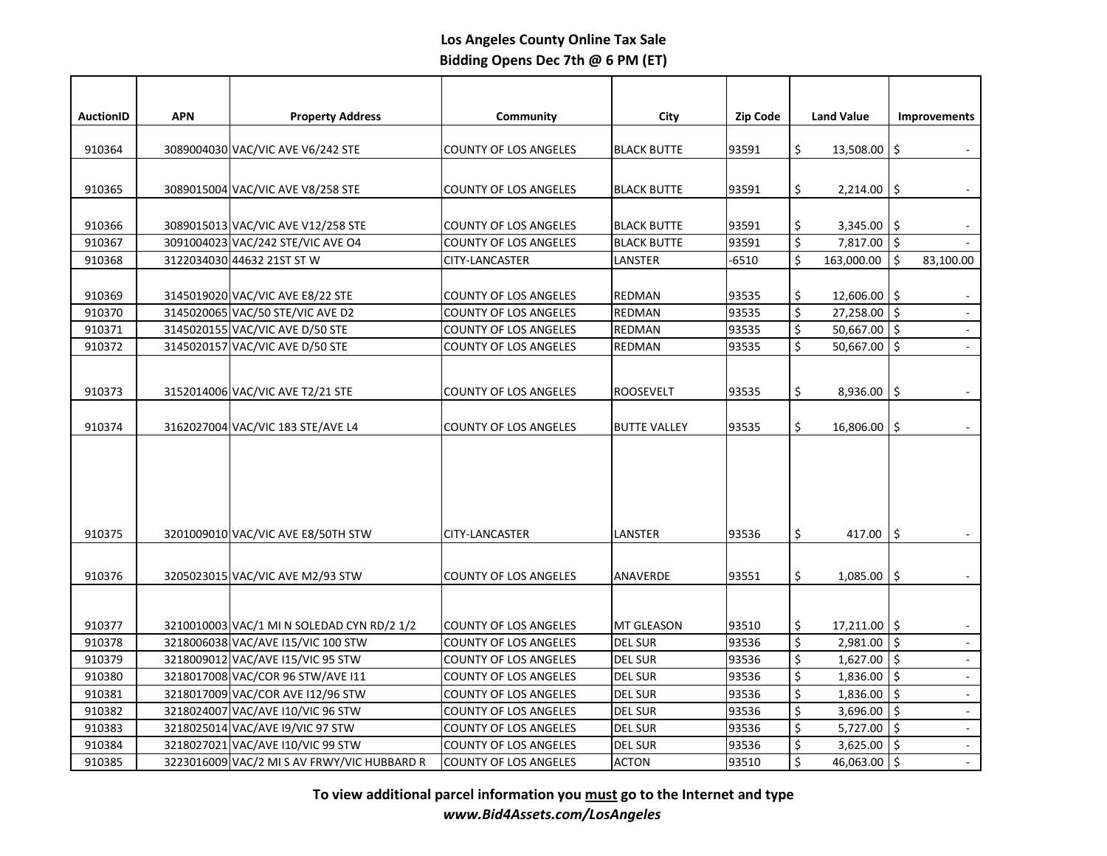| <b>AuctionID</b> | <b>APN</b> | <b>Property Address</b>                     | Community                    | City                | <b>Zip Code</b> |               | <b>Land Value</b>   | <b>Improvements</b>         |
|------------------|------------|---------------------------------------------|------------------------------|---------------------|-----------------|---------------|---------------------|-----------------------------|
|                  |            |                                             |                              |                     |                 |               |                     |                             |
| 910364           |            | 3089004030 VAC/VIC AVE V6/242 STE           | <b>COUNTY OF LOS ANGELES</b> | <b>BLACK BUTTE</b>  | 93591           | \$            | $13,508.00$   \$    |                             |
|                  |            |                                             |                              |                     |                 |               |                     |                             |
| 910365           |            | 3089015004 VAC/VIC AVE V8/258 STE           | <b>COUNTY OF LOS ANGELES</b> | <b>BLACK BUTTE</b>  | 93591           | \$            | $2,214.00$ \$       |                             |
|                  |            |                                             |                              |                     |                 |               |                     |                             |
| 910366           |            | 3089015013 VAC/VIC AVE V12/258 STE          | <b>COUNTY OF LOS ANGELES</b> | <b>BLACK BUTTE</b>  | 93591           | \$            | 3,345.00 $\vert$ \$ |                             |
| 910367           |            | 3091004023 VAC/242 STE/VIC AVE O4           | <b>COUNTY OF LOS ANGELES</b> | <b>BLACK BUTTE</b>  | 93591           | \$<br>$\zeta$ | $7,817.00$ \$       |                             |
| 910368           |            | 3122034030 44632 21ST ST W                  | CITY-LANCASTER               | LANSTER             | -6510           |               | 163,000.00          | -\$<br>83,100.00            |
| 910369           |            | 3145019020 VAC/VIC AVE E8/22 STE            | <b>COUNTY OF LOS ANGELES</b> | <b>REDMAN</b>       | 93535           | \$            | 12,606.00 \$        |                             |
| 910370           |            | 3145020065 VAC/50 STE/VIC AVE D2            | <b>COUNTY OF LOS ANGELES</b> | <b>REDMAN</b>       | 93535           | \$            | $27,258.00$   \$    | $\omega$                    |
| 910371           |            | 3145020155 VAC/VIC AVE D/50 STE             | <b>COUNTY OF LOS ANGELES</b> | REDMAN              | 93535           | \$            | $50,667.00$ \$      | $\mathbb{Z}^2$              |
| 910372           |            | 3145020157 VAC/VIC AVE D/50 STE             | <b>COUNTY OF LOS ANGELES</b> | REDMAN              | 93535           | \$            | $50,667.00$ \$      |                             |
|                  |            |                                             |                              |                     |                 |               |                     |                             |
|                  |            |                                             |                              |                     |                 |               |                     |                             |
| 910373           |            | 3152014006 VAC/VIC AVE T2/21 STE            | <b>COUNTY OF LOS ANGELES</b> | <b>ROOSEVELT</b>    | 93535           | \$            | $8,936.00$ \$       |                             |
|                  |            |                                             |                              |                     |                 |               |                     |                             |
| 910374           |            | 3162027004 VAC/VIC 183 STE/AVE L4           | <b>COUNTY OF LOS ANGELES</b> | <b>BUTTE VALLEY</b> | 93535           | \$            | 16,806.00 \$        |                             |
|                  |            |                                             |                              |                     |                 |               |                     |                             |
|                  |            |                                             |                              |                     |                 |               |                     |                             |
|                  |            |                                             |                              |                     |                 |               |                     |                             |
|                  |            |                                             |                              |                     |                 |               |                     |                             |
|                  |            |                                             |                              |                     |                 |               |                     |                             |
| 910375           |            | 3201009010 VAC/VIC AVE E8/50TH STW          | CITY-LANCASTER               | LANSTER             | 93536           | \$            | 417.00 $\vert$ \$   |                             |
|                  |            |                                             |                              |                     |                 |               |                     |                             |
| 910376           |            | 3205023015 VAC/VIC AVE M2/93 STW            | <b>COUNTY OF LOS ANGELES</b> | ANAVERDE            | 93551           | \$            | $1,085.00$ \$       | $\sim$                      |
|                  |            |                                             |                              |                     |                 |               |                     |                             |
|                  |            |                                             |                              |                     |                 |               |                     |                             |
| 910377           |            | 3210010003 VAC/1 MI N SOLEDAD CYN RD/2 1/2  | <b>COUNTY OF LOS ANGELES</b> | MT GLEASON          | 93510           | \$            | $17,211.00$ \$      |                             |
| 910378           |            | 3218006038 VAC/AVE I15/VIC 100 STW          | <b>COUNTY OF LOS ANGELES</b> | <b>DEL SUR</b>      | 93536           | $\zeta$       | $2,981.00$ \$       | $\mathcal{L}^{\mathcal{A}}$ |
| 910379           |            | 3218009012 VAC/AVE I15/VIC 95 STW           | <b>COUNTY OF LOS ANGELES</b> | <b>DEL SUR</b>      | 93536           | \$            | $1,627.00$ \$       | $\mathcal{L}$               |
| 910380           |            | 3218017008 VAC/COR 96 STW/AVE I11           | <b>COUNTY OF LOS ANGELES</b> | <b>DEL SUR</b>      | 93536           | \$            | $1,836.00$ \$       | $\omega$                    |
| 910381           |            | 3218017009 VAC/COR AVE I12/96 STW           | <b>COUNTY OF LOS ANGELES</b> | <b>DEL SUR</b>      | 93536           | \$            | $1,836.00$ \$       | $\mathbb{Z}^2$              |
| 910382           |            | 3218024007 VAC/AVE I10/VIC 96 STW           | <b>COUNTY OF LOS ANGELES</b> | <b>DEL SUR</b>      | 93536           | $\zeta$       | $3,696.00$ \$       | ä,                          |
| 910383           |            | 3218025014 VAC/AVE I9/VIC 97 STW            | <b>COUNTY OF LOS ANGELES</b> | <b>DEL SUR</b>      | 93536           | \$            | 5,727.00 \$         | $\omega$                    |
| 910384           |            | 3218027021 VAC/AVE I10/VIC 99 STW           | <b>COUNTY OF LOS ANGELES</b> | <b>DEL SUR</b>      | 93536           | \$            | $3,625.00$ \$       | $\mathbb{Z}^d$              |
| 910385           |            | 3223016009 VAC/2 MI S AV FRWY/VIC HUBBARD R | <b>COUNTY OF LOS ANGELES</b> | <b>ACTON</b>        | 93510           | $\zeta$       | 46,063.00 \$        | $\omega$                    |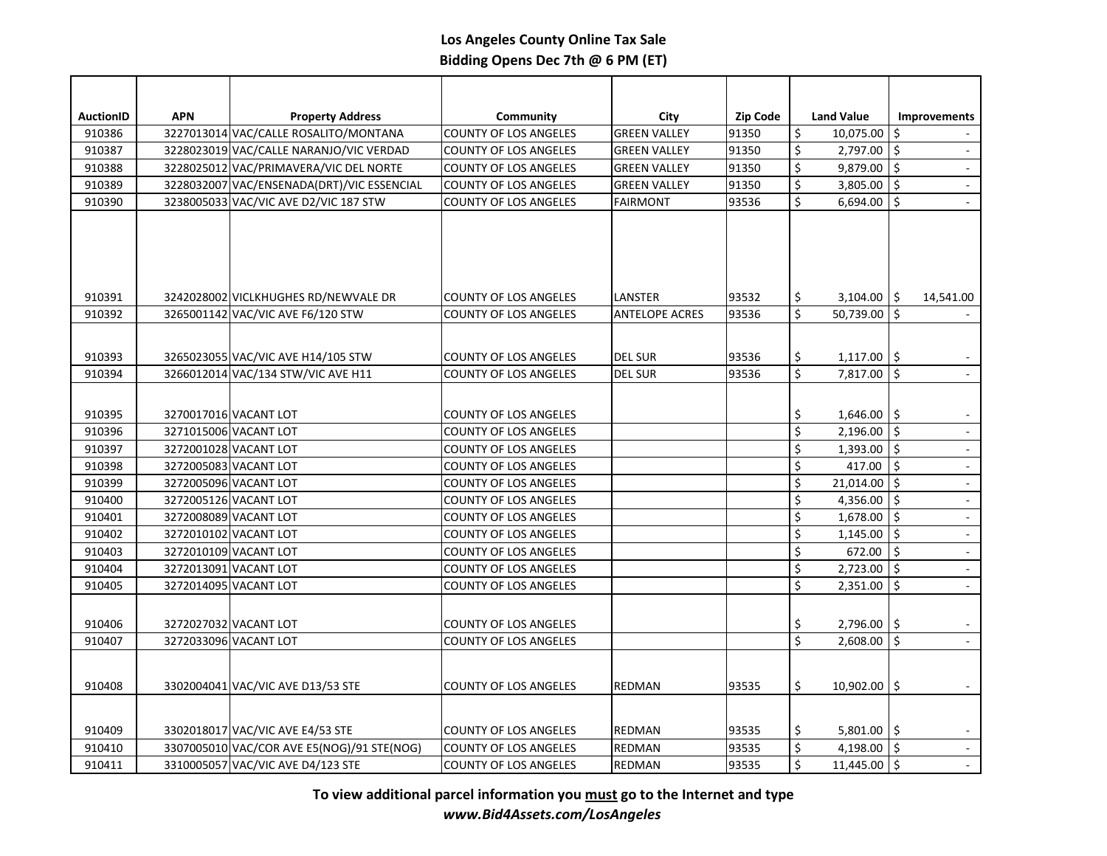| <b>AuctionID</b> | <b>APN</b> | <b>Property Address</b>                    | Community                    | <b>City</b>           | <b>Zip Code</b> |                      | <b>Land Value</b>   | <b>Improvements</b>         |
|------------------|------------|--------------------------------------------|------------------------------|-----------------------|-----------------|----------------------|---------------------|-----------------------------|
| 910386           |            | 3227013014 VAC/CALLE ROSALITO/MONTANA      | <b>COUNTY OF LOS ANGELES</b> | <b>GREEN VALLEY</b>   | 91350           | \$                   | $10,075.00$ \$      |                             |
| 910387           |            | 3228023019 VAC/CALLE NARANJO/VIC VERDAD    | <b>COUNTY OF LOS ANGELES</b> | <b>GREEN VALLEY</b>   | 91350           | $\zeta$              | $2,797.00$ \$       | $\blacksquare$              |
| 910388           |            | 3228025012 VAC/PRIMAVERA/VIC DEL NORTE     | <b>COUNTY OF LOS ANGELES</b> | <b>GREEN VALLEY</b>   | 91350           | \$                   | $9,879.00$ \$       | $\omega$                    |
| 910389           |            | 3228032007 VAC/ENSENADA(DRT)/VIC ESSENCIAL | <b>COUNTY OF LOS ANGELES</b> | <b>GREEN VALLEY</b>   | 91350           | $\zeta$              | $3,805.00$ \$       | $\omega$                    |
| 910390           |            | 3238005033 VAC/VIC AVE D2/VIC 187 STW      | <b>COUNTY OF LOS ANGELES</b> | <b>FAIRMONT</b>       | 93536           | $\zeta$              | $6,694.00$ \$       |                             |
|                  |            |                                            |                              |                       |                 |                      |                     |                             |
| 910391           |            | 3242028002 VICLKHUGHES RD/NEWVALE DR       | <b>COUNTY OF LOS ANGELES</b> | LANSTER               | 93532           | \$                   | $3,104.00$   \$     | 14,541.00                   |
| 910392           |            | 3265001142 VAC/VIC AVE F6/120 STW          | <b>COUNTY OF LOS ANGELES</b> | <b>ANTELOPE ACRES</b> | 93536           | Ś                    | 50,739.00 \$        |                             |
| 910393           |            | 3265023055 VAC/VIC AVE H14/105 STW         | <b>COUNTY OF LOS ANGELES</b> | <b>DEL SUR</b>        | 93536           | \$                   | $1,117.00$   \$     |                             |
| 910394           |            | 3266012014 VAC/134 STW/VIC AVE H11         | <b>COUNTY OF LOS ANGELES</b> | <b>DEL SUR</b>        | 93536           | \$                   | $7,817.00$ \$       |                             |
| 910395           |            | 3270017016 VACANT LOT                      | <b>COUNTY OF LOS ANGELES</b> |                       |                 | \$                   | $1,646.00$ \$       |                             |
| 910396           |            | 3271015006 VACANT LOT                      | <b>COUNTY OF LOS ANGELES</b> |                       |                 | \$                   | $2,196.00$ \$       | $\mathcal{L}$               |
| 910397           |            | 3272001028 VACANT LOT                      | <b>COUNTY OF LOS ANGELES</b> |                       |                 | \$                   | $1,393.00$ \$       | $\Box$                      |
| 910398           |            | 3272005083 VACANT LOT                      | <b>COUNTY OF LOS ANGELES</b> |                       |                 | \$                   | 417.00 $\vert$ \$   | $\mathbb{Z}^2$              |
| 910399           |            | 3272005096 VACANT LOT                      | <b>COUNTY OF LOS ANGELES</b> |                       |                 | \$                   | $21,014.00$ \$      | $\mathbb{Z}$                |
| 910400           |            | 3272005126 VACANT LOT                      | <b>COUNTY OF LOS ANGELES</b> |                       |                 | \$                   | 4,356.00 $\vert$ \$ | $\Box$                      |
| 910401           |            | 3272008089 VACANT LOT                      | <b>COUNTY OF LOS ANGELES</b> |                       |                 | $\zeta$              | $1,678.00$ \$       | $\mathbb{Z}^2$              |
| 910402           |            | 3272010102 VACANT LOT                      | <b>COUNTY OF LOS ANGELES</b> |                       |                 | \$                   | $1,145.00$ \$       | $\mathbb{Z}$                |
| 910403           |            | 3272010109 VACANT LOT                      | <b>COUNTY OF LOS ANGELES</b> |                       |                 | \$                   | $672.00$ \$         | $\Box$                      |
| 910404           |            | 3272013091 VACANT LOT                      | <b>COUNTY OF LOS ANGELES</b> |                       |                 | $\zeta$              | $2,723.00$ \$       | $\mathbb{Z}^2$              |
| 910405           |            | 3272014095 VACANT LOT                      | <b>COUNTY OF LOS ANGELES</b> |                       |                 | $\zeta$              | $2,351.00$ \$       | $\omega$                    |
| 910406           |            | 3272027032 VACANT LOT                      | <b>COUNTY OF LOS ANGELES</b> |                       |                 | \$                   | 2,796.00            | \$                          |
| 910407           |            | 3272033096 VACANT LOT                      | <b>COUNTY OF LOS ANGELES</b> |                       |                 | $\zeta$              | $2,608.00$ \$       |                             |
| 910408           |            | 3302004041 VAC/VIC AVE D13/53 STE          | <b>COUNTY OF LOS ANGELES</b> | REDMAN                | 93535           | \$                   | $10,902.00$   \$    |                             |
| 910409           |            | 3302018017 VAC/VIC AVE E4/53 STE           | <b>COUNTY OF LOS ANGELES</b> | <b>REDMAN</b>         | 93535           | \$.                  | $5,801.00$ \$       |                             |
| 910410           |            | 3307005010 VAC/COR AVE E5(NOG)/91 STE(NOG) | <b>COUNTY OF LOS ANGELES</b> | <b>REDMAN</b>         | 93535           | $\zeta$              | 4,198.00 $\vert$ \$ |                             |
| 910411           |            | 3310005057 VAC/VIC AVE D4/123 STE          | <b>COUNTY OF LOS ANGELES</b> | <b>REDMAN</b>         | 93535           | $\boldsymbol{\zeta}$ | $11,445.00$ \$      | $\mathcal{L}^{\mathcal{A}}$ |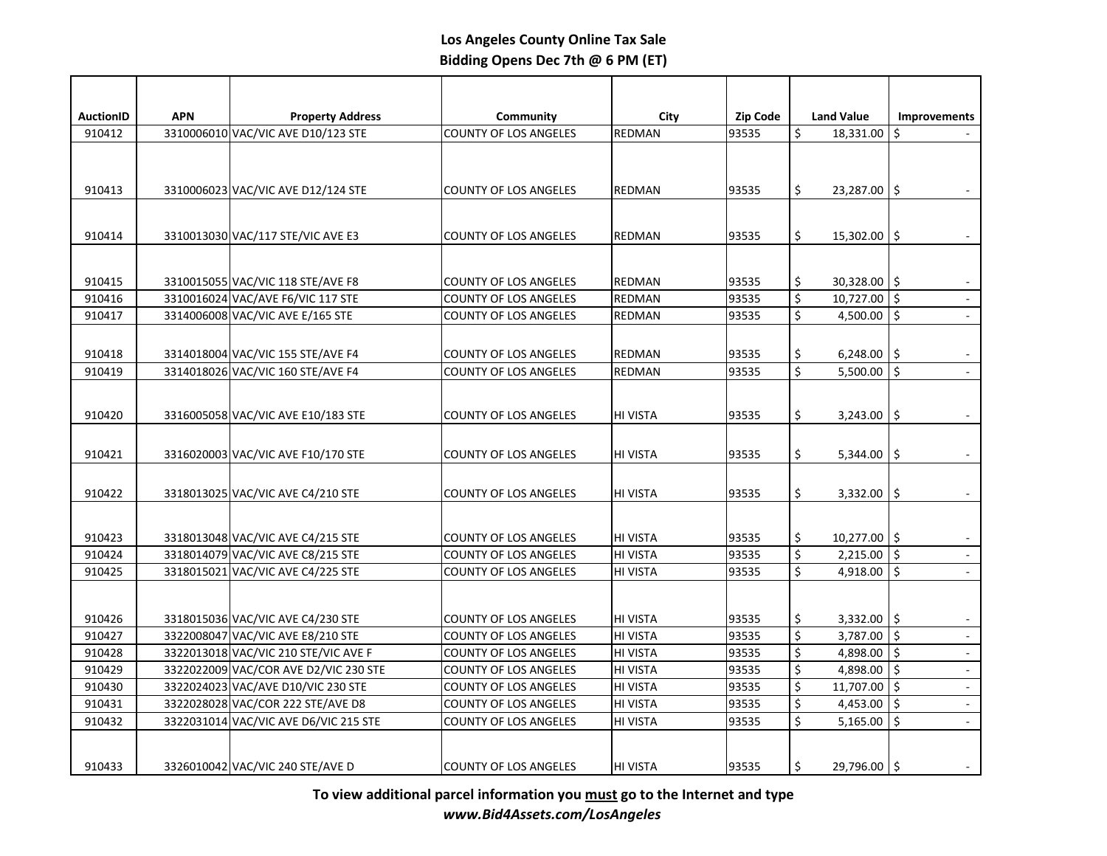| <b>AuctionID</b> | <b>APN</b> | <b>Property Address</b>                                                | Community                                                    | City                 | <b>Zip Code</b> |          | <b>Land Value</b>                | <b>Improvements</b> |
|------------------|------------|------------------------------------------------------------------------|--------------------------------------------------------------|----------------------|-----------------|----------|----------------------------------|---------------------|
| 910412           |            | 3310006010 VAC/VIC AVE D10/123 STE                                     | <b>COUNTY OF LOS ANGELES</b>                                 | <b>REDMAN</b>        | 93535           | \$       | 18,331.00                        | \$                  |
|                  |            |                                                                        |                                                              |                      |                 |          |                                  |                     |
| 910413           |            | 3310006023 VAC/VIC AVE D12/124 STE                                     | <b>COUNTY OF LOS ANGELES</b>                                 | <b>REDMAN</b>        | 93535           | \$       | $23,287.00$   \$                 |                     |
| 910414           |            | 3310013030 VAC/117 STE/VIC AVE E3                                      | <b>COUNTY OF LOS ANGELES</b>                                 | <b>REDMAN</b>        | 93535           | \$       | $15,302.00$ \$                   |                     |
| 910415           |            | 3310015055 VAC/VIC 118 STE/AVE F8                                      | <b>COUNTY OF LOS ANGELES</b>                                 | <b>REDMAN</b>        | 93535           | \$       | $30,328.00$   \$                 |                     |
| 910416           |            | 3310016024 VAC/AVE F6/VIC 117 STE                                      | <b>COUNTY OF LOS ANGELES</b>                                 | <b>REDMAN</b>        | 93535           | \$       | $10,727.00$ \$                   | $\mathbb{Z}^2$      |
| 910417           |            | 3314006008 VAC/VIC AVE E/165 STE                                       | <b>COUNTY OF LOS ANGELES</b>                                 | <b>REDMAN</b>        | 93535           | \$       | 4,500.00 $\vert$ \$              | $\blacksquare$      |
| 910418           |            | 3314018004 VAC/VIC 155 STE/AVE F4                                      | <b>COUNTY OF LOS ANGELES</b>                                 | <b>REDMAN</b>        | 93535           | \$       | 6,248.00                         | \$<br>$\sim$        |
| 910419           |            | 3314018026 VAC/VIC 160 STE/AVE F4                                      | <b>COUNTY OF LOS ANGELES</b>                                 | <b>REDMAN</b>        | 93535           | \$       | 5,500.00 $\vert$ \$              |                     |
| 910420           |            | 3316005058 VAC/VIC AVE E10/183 STE                                     | <b>COUNTY OF LOS ANGELES</b>                                 | <b>HI VISTA</b>      | 93535           | \$       | $3,243.00$ \$                    |                     |
| 910421           |            | 3316020003 VAC/VIC AVE F10/170 STE                                     | <b>COUNTY OF LOS ANGELES</b>                                 | HI VISTA             | 93535           | \$       | 5,344.00                         | \$                  |
| 910422           |            | 3318013025 VAC/VIC AVE C4/210 STE                                      | <b>COUNTY OF LOS ANGELES</b>                                 | <b>HI VISTA</b>      | 93535           | \$       | 3,332.00                         | \$                  |
| 910423           |            | 3318013048 VAC/VIC AVE C4/215 STE                                      | <b>COUNTY OF LOS ANGELES</b>                                 | HI VISTA             | 93535           | \$       | $10,277.00$ \$                   |                     |
| 910424           |            | 3318014079 VAC/VIC AVE C8/215 STE                                      | <b>COUNTY OF LOS ANGELES</b>                                 | HI VISTA             | 93535           | \$       | $2,215.00$ \$                    |                     |
| 910425           |            | 3318015021 VAC/VIC AVE C4/225 STE                                      | <b>COUNTY OF LOS ANGELES</b>                                 | <b>HI VISTA</b>      | 93535           | \$       | 4,918.00 \$                      |                     |
| 910426           |            |                                                                        |                                                              | <b>HI VISTA</b>      | 93535           |          |                                  |                     |
|                  |            | 3318015036 VAC/VIC AVE C4/230 STE<br>3322008047 VAC/VIC AVE E8/210 STE | <b>COUNTY OF LOS ANGELES</b>                                 |                      | 93535           | \$<br>\$ | $3,332.00$   \$<br>$3,787.00$ \$ | $\mathbb{Z}^2$      |
| 910427<br>910428 |            | 3322013018 VAC/VIC 210 STE/VIC AVE F                                   | <b>COUNTY OF LOS ANGELES</b><br><b>COUNTY OF LOS ANGELES</b> | HI VISTA<br>HI VISTA | 93535           | \$       | 4,898.00 $\vert$ \$              | $\omega$            |
| 910429           |            | 3322022009 VAC/COR AVE D2/VIC 230 STE                                  | <b>COUNTY OF LOS ANGELES</b>                                 | HI VISTA             | 93535           | \$       | 4,898.00 $\vert$ \$              | $\omega$            |
| 910430           |            | 3322024023 VAC/AVE D10/VIC 230 STE                                     | <b>COUNTY OF LOS ANGELES</b>                                 | HI VISTA             | 93535           | \$       | 11,707.00 \$                     | $\Box$              |
| 910431           |            | 3322028028 VAC/COR 222 STE/AVE D8                                      | <b>COUNTY OF LOS ANGELES</b>                                 | <b>HI VISTA</b>      | 93535           | \$       | 4,453.00 $\vert$ \$              | $\mathbb{Z}^2$      |
| 910432           |            | 3322031014 VAC/VIC AVE D6/VIC 215 STE                                  | <b>COUNTY OF LOS ANGELES</b>                                 | <b>HI VISTA</b>      | 93535           | \$       | 5,165.00                         | \$                  |
|                  |            |                                                                        |                                                              |                      |                 |          |                                  |                     |
| 910433           |            | 3326010042 VAC/VIC 240 STE/AVE D                                       | <b>COUNTY OF LOS ANGELES</b>                                 | <b>HI VISTA</b>      | 93535           | \$       | $29,796.00$   \$                 |                     |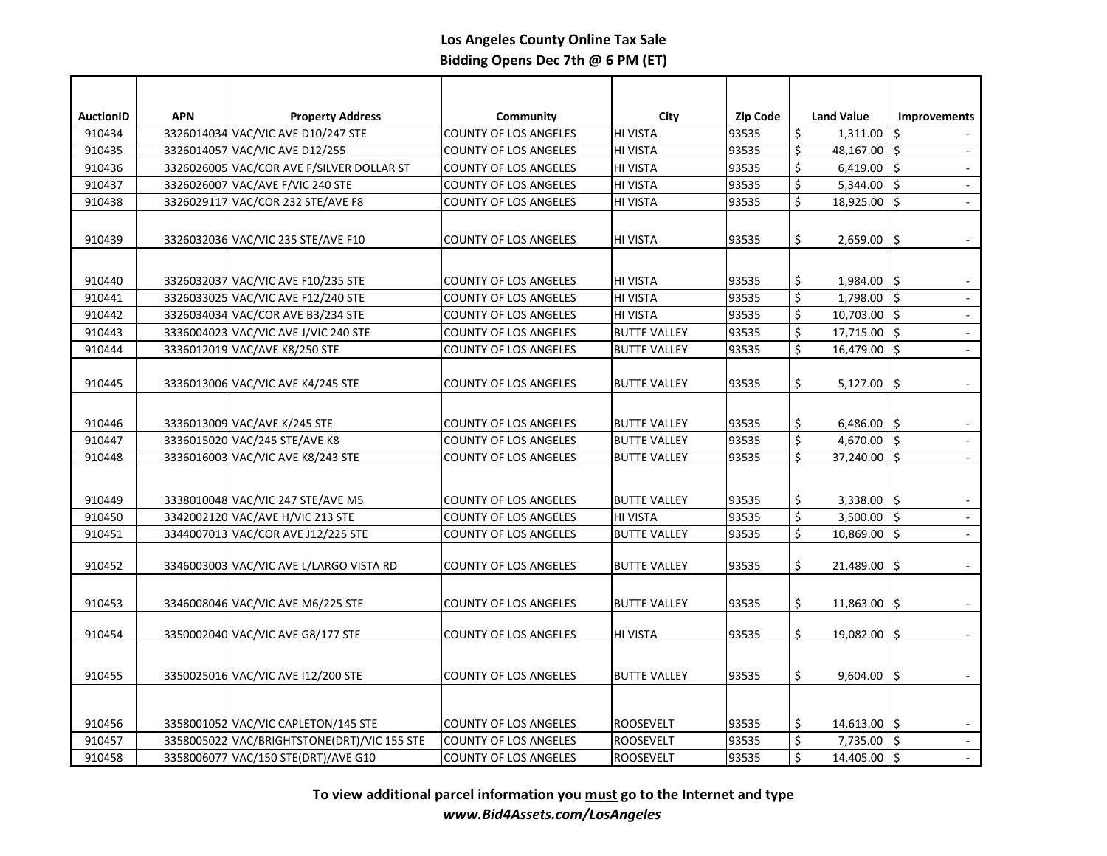| <b>AuctionID</b> | <b>APN</b> | <b>Property Address</b>                     | Community                                                    | <b>City</b>                                | <b>Zip Code</b> |                      | <b>Land Value</b>                    | <b>Improvements</b>         |
|------------------|------------|---------------------------------------------|--------------------------------------------------------------|--------------------------------------------|-----------------|----------------------|--------------------------------------|-----------------------------|
| 910434           |            | 3326014034 VAC/VIC AVE D10/247 STE          | <b>COUNTY OF LOS ANGELES</b>                                 | HI VISTA                                   | 93535           | \$                   | $1,311.00$   \$                      |                             |
| 910435           |            | 3326014057 VAC/VIC AVE D12/255              | <b>COUNTY OF LOS ANGELES</b>                                 | HI VISTA                                   | 93535           | \$                   | 48,167.00 \$                         |                             |
| 910436           |            | 3326026005 VAC/COR AVE F/SILVER DOLLAR ST   | <b>COUNTY OF LOS ANGELES</b>                                 | HI VISTA                                   | 93535           | \$                   | $6,419.00$ \$                        |                             |
| 910437           |            | 3326026007 VAC/AVE F/VIC 240 STE            | <b>COUNTY OF LOS ANGELES</b>                                 | HI VISTA                                   | 93535           | \$                   | 5,344.00 $ \$$                       | $\mathbb{Z}$                |
| 910438           |            | 3326029117 VAC/COR 232 STE/AVE F8           | <b>COUNTY OF LOS ANGELES</b>                                 | HI VISTA                                   | 93535           | \$                   | 18,925.00 \$                         | $\mathbb{Z}^2$              |
|                  |            |                                             |                                                              |                                            |                 |                      |                                      |                             |
| 910439           |            | 3326032036 VAC/VIC 235 STE/AVE F10          | <b>COUNTY OF LOS ANGELES</b>                                 | <b>HI VISTA</b>                            | 93535           | \$                   | 2,659.00                             | \$                          |
|                  |            |                                             |                                                              |                                            |                 |                      |                                      |                             |
| 910440           |            | 3326032037 VAC/VIC AVE F10/235 STE          | <b>COUNTY OF LOS ANGELES</b>                                 | HI VISTA                                   | 93535           | \$                   | $1,984.00$   \$                      |                             |
| 910441           |            | 3326033025 VAC/VIC AVE F12/240 STE          | <b>COUNTY OF LOS ANGELES</b>                                 | HI VISTA                                   | 93535           | \$                   | $1,798.00$ \$                        |                             |
| 910442           |            | 3326034034 VAC/COR AVE B3/234 STE           | <b>COUNTY OF LOS ANGELES</b>                                 | HI VISTA                                   | 93535           | \$                   | $10,703.00$ \$                       |                             |
| 910443           |            | 3336004023 VAC/VIC AVE J/VIC 240 STE        | <b>COUNTY OF LOS ANGELES</b>                                 | <b>BUTTE VALLEY</b>                        | 93535           | \$                   | 17,715.00 \$                         | $\overline{\phantom{a}}$    |
| 910444           |            | 3336012019 VAC/AVE K8/250 STE               | <b>COUNTY OF LOS ANGELES</b>                                 | <b>BUTTE VALLEY</b>                        | 93535           | \$                   | $16,479.00$ \$                       | $\mathcal{L}^{\mathcal{L}}$ |
|                  |            |                                             |                                                              |                                            |                 |                      |                                      |                             |
| 910445           |            | 3336013006 VAC/VIC AVE K4/245 STE           | <b>COUNTY OF LOS ANGELES</b>                                 | <b>BUTTE VALLEY</b>                        | 93535           | \$                   | 5,127.00                             | \$                          |
|                  |            |                                             |                                                              |                                            |                 |                      |                                      |                             |
|                  |            | 3336013009 VAC/AVE K/245 STE                |                                                              |                                            | 93535           |                      |                                      |                             |
| 910446<br>910447 |            | 3336015020 VAC/245 STE/AVE K8               | <b>COUNTY OF LOS ANGELES</b><br><b>COUNTY OF LOS ANGELES</b> | <b>BUTTE VALLEY</b><br><b>BUTTE VALLEY</b> | 93535           | \$<br>\$             | $6,486.00$ \$<br>4,670.00 $\vert$ \$ | $\omega$                    |
| 910448           |            | 3336016003 VAC/VIC AVE K8/243 STE           | <b>COUNTY OF LOS ANGELES</b>                                 | <b>BUTTE VALLEY</b>                        | 93535           | \$                   | $37,240.00$ \$                       |                             |
|                  |            |                                             |                                                              |                                            |                 |                      |                                      |                             |
|                  |            |                                             |                                                              |                                            |                 |                      |                                      |                             |
| 910449           |            | 3338010048 VAC/VIC 247 STE/AVE M5           | <b>COUNTY OF LOS ANGELES</b>                                 | <b>BUTTE VALLEY</b>                        | 93535           | \$                   | 3,338.00 $\vert$ \$                  |                             |
| 910450           |            | 3342002120 VAC/AVE H/VIC 213 STE            | <b>COUNTY OF LOS ANGELES</b>                                 | HI VISTA                                   | 93535           | \$                   | 3,500.00 \$                          | $\mathcal{L}^{\mathcal{L}}$ |
| 910451           |            | 3344007013 VAC/COR AVE J12/225 STE          | <b>COUNTY OF LOS ANGELES</b>                                 | <b>BUTTE VALLEY</b>                        | 93535           | $\boldsymbol{\zeta}$ | $10,869.00$ \$                       | $\omega$                    |
|                  |            |                                             |                                                              |                                            |                 |                      |                                      |                             |
| 910452           |            | 3346003003 VAC/VIC AVE L/LARGO VISTA RD     | <b>COUNTY OF LOS ANGELES</b>                                 | <b>BUTTE VALLEY</b>                        | 93535           | \$                   | $21,489.00$   \$                     |                             |
|                  |            |                                             |                                                              |                                            |                 |                      |                                      |                             |
| 910453           |            | 3346008046 VAC/VIC AVE M6/225 STE           | <b>COUNTY OF LOS ANGELES</b>                                 | <b>BUTTE VALLEY</b>                        | 93535           | \$                   | 11,863.00 \$                         |                             |
| 910454           |            | 3350002040 VAC/VIC AVE G8/177 STE           | <b>COUNTY OF LOS ANGELES</b>                                 | HI VISTA                                   | 93535           | \$                   | $19,082.00$   \$                     |                             |
|                  |            |                                             |                                                              |                                            |                 |                      |                                      |                             |
|                  |            |                                             |                                                              |                                            |                 |                      |                                      |                             |
| 910455           |            | 3350025016 VAC/VIC AVE I12/200 STE          | <b>COUNTY OF LOS ANGELES</b>                                 | <b>BUTTE VALLEY</b>                        | 93535           | \$                   | $9,604.00$ \$                        |                             |
|                  |            |                                             |                                                              |                                            |                 |                      |                                      |                             |
| 910456           |            | 3358001052 VAC/VIC CAPLETON/145 STE         | <b>COUNTY OF LOS ANGELES</b>                                 | <b>ROOSEVELT</b>                           | 93535           | \$                   | $14,613.00$ \$                       |                             |
| 910457           |            | 3358005022 VAC/BRIGHTSTONE(DRT)/VIC 155 STE | <b>COUNTY OF LOS ANGELES</b>                                 | ROOSEVELT                                  | 93535           | \$                   | $7,735.00$ \$                        |                             |
|                  |            |                                             |                                                              |                                            |                 | $\zeta$              | $14,405.00$ \$                       | L,                          |
| 910458           |            | 3358006077 VAC/150 STE(DRT)/AVE G10         | <b>COUNTY OF LOS ANGELES</b>                                 | <b>ROOSEVELT</b>                           | 93535           |                      |                                      |                             |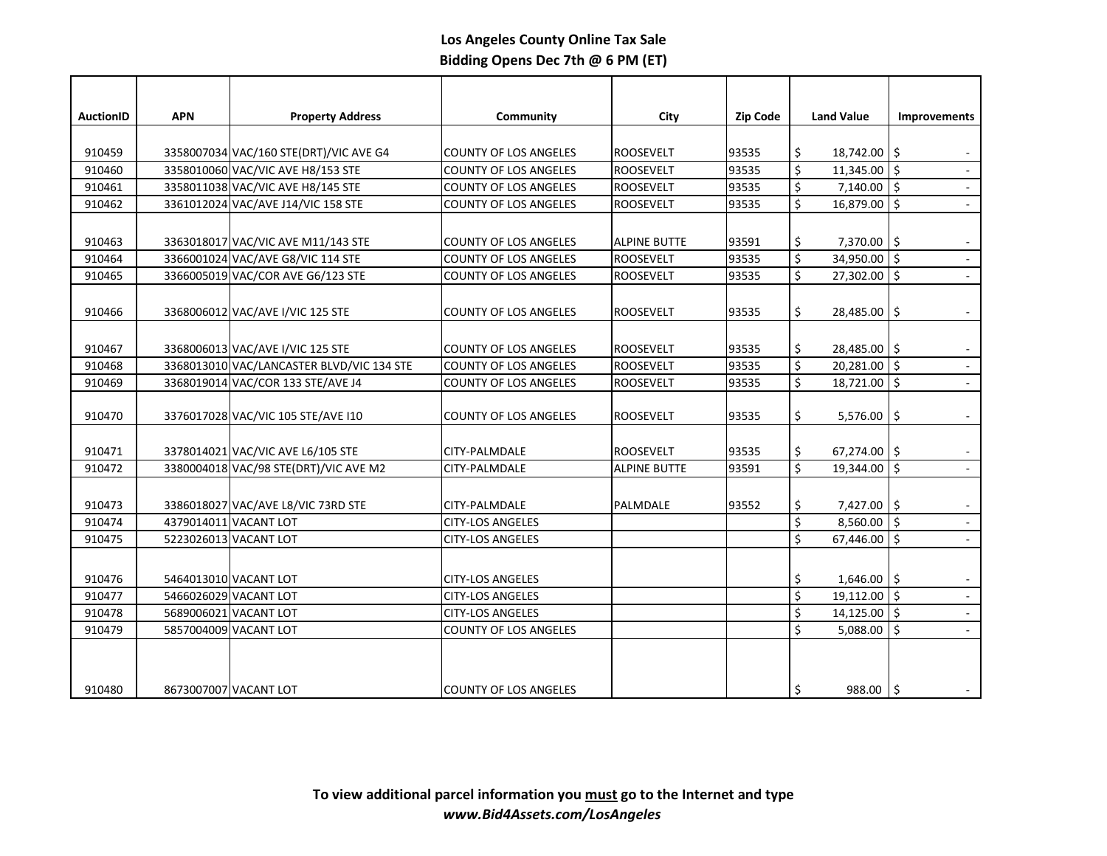| <b>AuctionID</b> | <b>APN</b> | <b>Property Address</b>                   | Community                    | City                | <b>Zip Code</b> |          | <b>Land Value</b>   | <b>Improvements</b>         |
|------------------|------------|-------------------------------------------|------------------------------|---------------------|-----------------|----------|---------------------|-----------------------------|
|                  |            |                                           |                              |                     |                 |          |                     |                             |
| 910459           |            | 3358007034 VAC/160 STE(DRT)/VIC AVE G4    | <b>COUNTY OF LOS ANGELES</b> | <b>ROOSEVELT</b>    | 93535           | \$       | 18,742.00 \$        |                             |
| 910460           |            | 3358010060 VAC/VIC AVE H8/153 STE         | <b>COUNTY OF LOS ANGELES</b> | <b>ROOSEVELT</b>    | 93535           | \$       | 11,345.00           | \$                          |
| 910461           |            | 3358011038 VAC/VIC AVE H8/145 STE         | <b>COUNTY OF LOS ANGELES</b> | <b>ROOSEVELT</b>    | 93535           | \$       | $7,140.00$   \$     | $\blacksquare$              |
| 910462           |            | 3361012024 VAC/AVE J14/VIC 158 STE        | <b>COUNTY OF LOS ANGELES</b> | <b>ROOSEVELT</b>    | 93535           | \$       | 16,879.00 \$        | $\blacksquare$              |
|                  |            |                                           |                              |                     |                 |          |                     |                             |
| 910463           |            | 3363018017 VAC/VIC AVE M11/143 STE        | <b>COUNTY OF LOS ANGELES</b> | <b>ALPINE BUTTE</b> | 93591           | \$       | $7,370.00$   \$     |                             |
| 910464           |            | 3366001024 VAC/AVE G8/VIC 114 STE         | <b>COUNTY OF LOS ANGELES</b> | <b>ROOSEVELT</b>    | 93535           | \$       | 34,950.00 \$        | $\mathbb{Z}^2$              |
| 910465           |            | 3366005019 VAC/COR AVE G6/123 STE         | <b>COUNTY OF LOS ANGELES</b> | <b>ROOSEVELT</b>    | 93535           | \$       | 27,302.00 \$        |                             |
|                  |            |                                           |                              |                     |                 |          |                     |                             |
| 910466           |            | 3368006012 VAC/AVE I/VIC 125 STE          | <b>COUNTY OF LOS ANGELES</b> | <b>ROOSEVELT</b>    | 93535           | \$       | 28,485.00 \$        | $\overline{\phantom{a}}$    |
|                  |            |                                           |                              |                     |                 |          |                     |                             |
| 910467           |            | 3368006013 VAC/AVE I/VIC 125 STE          | <b>COUNTY OF LOS ANGELES</b> | <b>ROOSEVELT</b>    | 93535           | \$       | $28,485.00$   \$    |                             |
| 910468           |            | 3368013010 VAC/LANCASTER BLVD/VIC 134 STE | <b>COUNTY OF LOS ANGELES</b> | <b>ROOSEVELT</b>    | 93535           | \$       | $20,281.00$ \$      |                             |
| 910469           |            | 3368019014 VAC/COR 133 STE/AVE J4         | <b>COUNTY OF LOS ANGELES</b> | <b>ROOSEVELT</b>    | 93535           | \$       | $18,721.00$ \$      | $\Box$                      |
|                  |            |                                           |                              |                     |                 |          |                     |                             |
| 910470           |            | 3376017028 VAC/VIC 105 STE/AVE I10        | <b>COUNTY OF LOS ANGELES</b> | <b>ROOSEVELT</b>    | 93535           | \$       | 5,576.00            | \$                          |
|                  |            |                                           |                              |                     |                 |          |                     |                             |
| 910471           |            | 3378014021 VAC/VIC AVE L6/105 STE         | CITY-PALMDALE                | <b>ROOSEVELT</b>    | 93535           | \$       | $67,274.00$   \$    |                             |
| 910472           |            | 3380004018 VAC/98 STE(DRT)/VIC AVE M2     | CITY-PALMDALE                | <b>ALPINE BUTTE</b> | 93591           | \$       | 19,344.00           | \$                          |
|                  |            |                                           |                              |                     |                 |          |                     |                             |
| 910473           |            | 3386018027 VAC/AVE L8/VIC 73RD STE        | CITY-PALMDALE                | PALMDALE            | 93552           | \$       | $7,427.00$ \$       |                             |
| 910474           |            | 4379014011 VACANT LOT                     | <b>CITY-LOS ANGELES</b>      |                     |                 | \$       | $8,560.00$ \$       | $\mathbb{Z}^2$              |
| 910475           |            | 5223026013 VACANT LOT                     | <b>CITY-LOS ANGELES</b>      |                     |                 | \$       | 67,446.00           | \$<br>$\mathcal{L}$         |
|                  |            |                                           |                              |                     |                 |          |                     |                             |
| 910476           |            | 5464013010 VACANT LOT                     | <b>CITY-LOS ANGELES</b>      |                     |                 |          | $1,646.00$ \$       |                             |
| 910477           |            | 5466026029 VACANT LOT                     | <b>CITY-LOS ANGELES</b>      |                     |                 | \$<br>\$ | 19,112.00 \$        | $\blacksquare$              |
| 910478           |            | 5689006021 VACANT LOT                     | <b>CITY-LOS ANGELES</b>      |                     |                 | \$       | $14,125.00$ \$      | $\omega$                    |
| 910479           |            | 5857004009 VACANT LOT                     | <b>COUNTY OF LOS ANGELES</b> |                     |                 | \$       | 5,088.00 $\vert$ \$ | $\mathcal{L}^{\mathcal{A}}$ |
|                  |            |                                           |                              |                     |                 |          |                     |                             |
|                  |            |                                           |                              |                     |                 |          |                     |                             |
|                  |            |                                           |                              |                     |                 |          |                     |                             |
| 910480           |            | 8673007007 VACANT LOT                     | <b>COUNTY OF LOS ANGELES</b> |                     |                 | \$       | $988.00$   \$       |                             |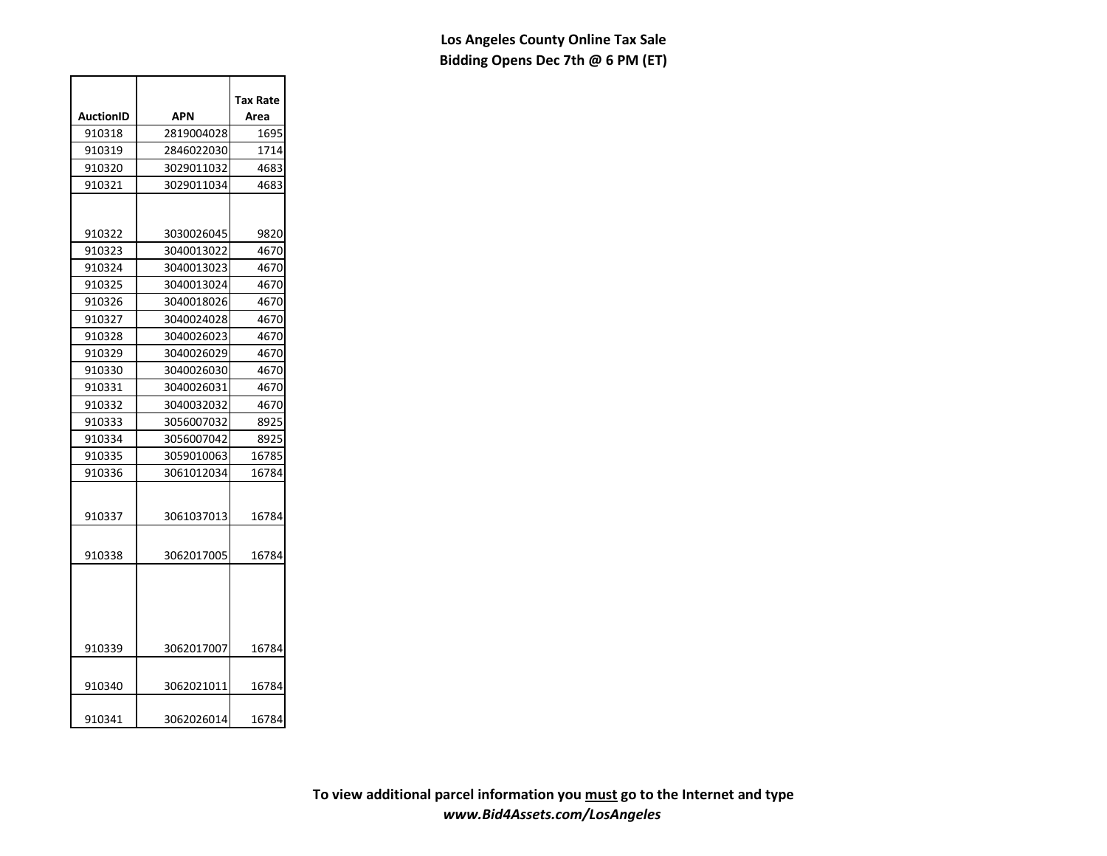|           |            | Tax Rate |
|-----------|------------|----------|
| AuctionID | APN        | Area     |
| 910318    | 2819004028 | 1695     |
| 910319    | 2846022030 | 1714     |
| 910320    | 3029011032 | 4683     |
| 910321    | 3029011034 | 4683     |
|           |            |          |
| 910322    | 3030026045 | 9820     |
| 910323    | 3040013022 | 4670     |
| 910324    | 3040013023 | 4670     |
| 910325    | 3040013024 | 4670     |
| 910326    | 3040018026 | 4670     |
| 910327    | 3040024028 | 4670     |
| 910328    | 3040026023 | 4670     |
| 910329    | 3040026029 | 4670     |
| 910330    | 3040026030 | 4670     |
| 910331    | 3040026031 | 4670     |
| 910332    | 3040032032 | 4670     |
| 910333    | 3056007032 | 8925     |
| 910334    | 3056007042 | 8925     |
| 910335    | 3059010063 | 16785    |
| 910336    | 3061012034 | 16784    |
| 910337    | 3061037013 | 16784    |
| 910338    | 3062017005 | 16784    |
|           |            |          |
| 910339    | 3062017007 | 16784    |
|           |            |          |
| 910340    | 3062021011 | 16784    |
| 910341    | 3062026014 | 16784    |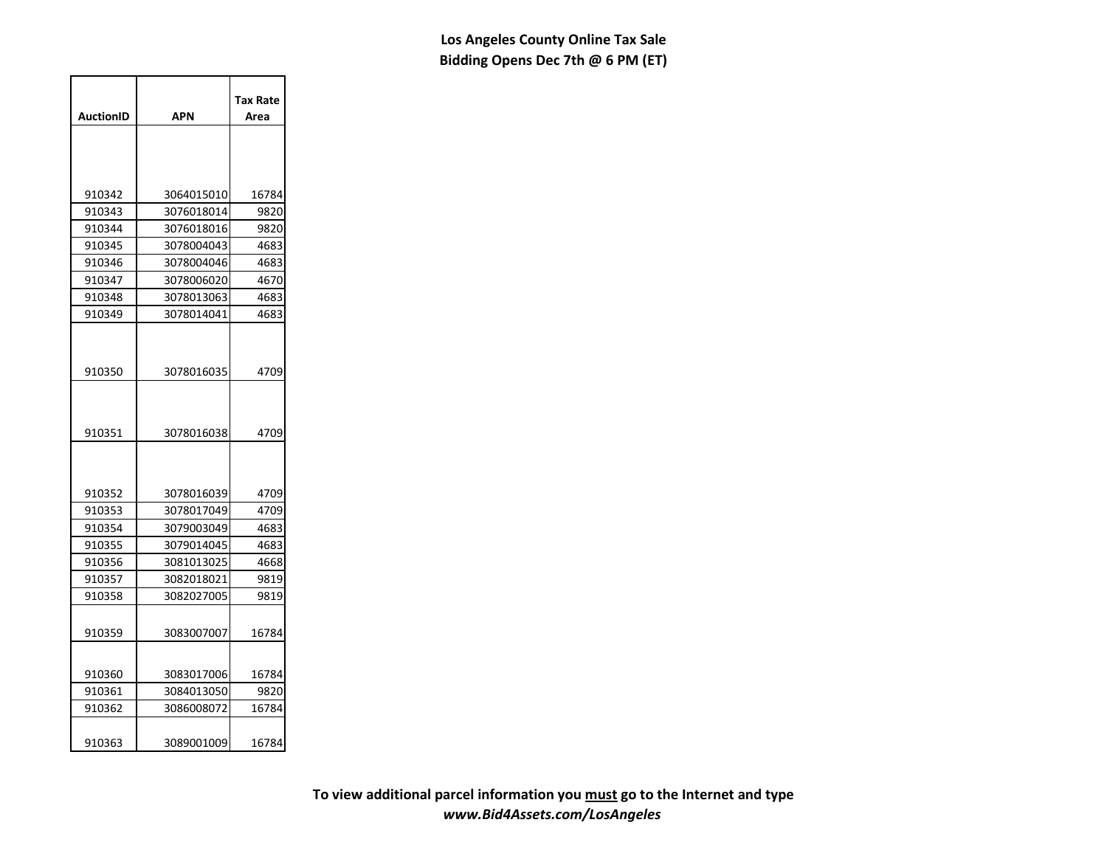|                  |            | <b>Tax Rate</b> |
|------------------|------------|-----------------|
| <b>AuctionID</b> | APN        | Area            |
|                  |            |                 |
| 910342           | 3064015010 | 16784           |
| 910343           | 3076018014 | 9820            |
| 910344           | 3076018016 | 9820            |
| 910345           | 3078004043 | 4683            |
| 910346           | 3078004046 | 4683            |
| 910347           | 3078006020 | 4670            |
| 910348           | 3078013063 | 4683            |
| 910349           | 3078014041 | 4683            |
| 910350           | 3078016035 | 4709            |
| 910351           | 3078016038 | 4709            |
| 910352           | 3078016039 | 4709            |
| 910353           | 3078017049 | 4709            |
| 910354           | 3079003049 | 4683            |
| 910355           | 3079014045 | 4683            |
| 910356           | 3081013025 | 4668            |
| 910357           | 3082018021 | 9819            |
| 910358           | 3082027005 | 9819            |
| 910359           | 3083007007 | 16784           |
| 910360           | 3083017006 | 16784           |
| 910361           | 3084013050 | 9820            |
| 910362           | 3086008072 | 16784           |
| 910363           | 3089001009 | 16784           |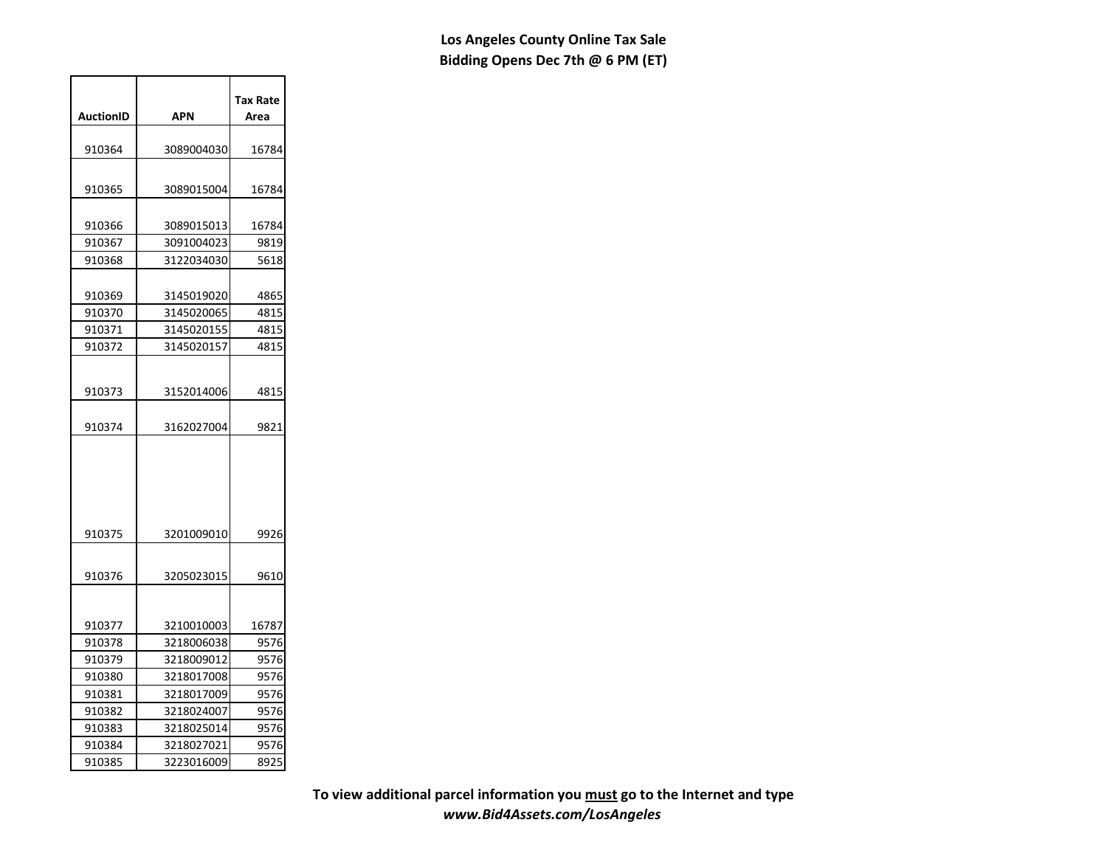|           |            | Tax Rate |
|-----------|------------|----------|
| AuctionID | APN        | Area     |
| 910364    | 3089004030 | 16784    |
|           |            |          |
| 910365    | 3089015004 | 16784    |
|           |            |          |
| 910366    | 3089015013 | 16784    |
| 910367    | 3091004023 | 9819     |
| 910368    | 3122034030 | 5618     |
|           |            |          |
| 910369    | 3145019020 | 4865     |
| 910370    | 3145020065 | 4815     |
| 910371    | 3145020155 | 4815     |
| 910372    | 3145020157 | 4815     |
|           |            |          |
| 910373    | 3152014006 | 4815     |
|           |            |          |
| 910374    | 3162027004 | 9821     |
|           |            |          |
|           |            |          |
|           |            |          |
|           |            |          |
|           |            |          |
| 910375    | 3201009010 | 9926     |
|           |            |          |
| 910376    | 3205023015 | 9610     |
|           |            |          |
|           |            |          |
| 910377    | 3210010003 | 16787    |
| 910378    | 3218006038 | 9576     |
| 910379    | 3218009012 | 9576     |
| 910380    | 3218017008 | 9576     |
| 910381    | 3218017009 | 9576     |
| 910382    | 3218024007 | 9576     |
| 910383    | 3218025014 | 9576     |
| 910384    | 3218027021 | 9576     |
| 910385    | 3223016009 | 8925     |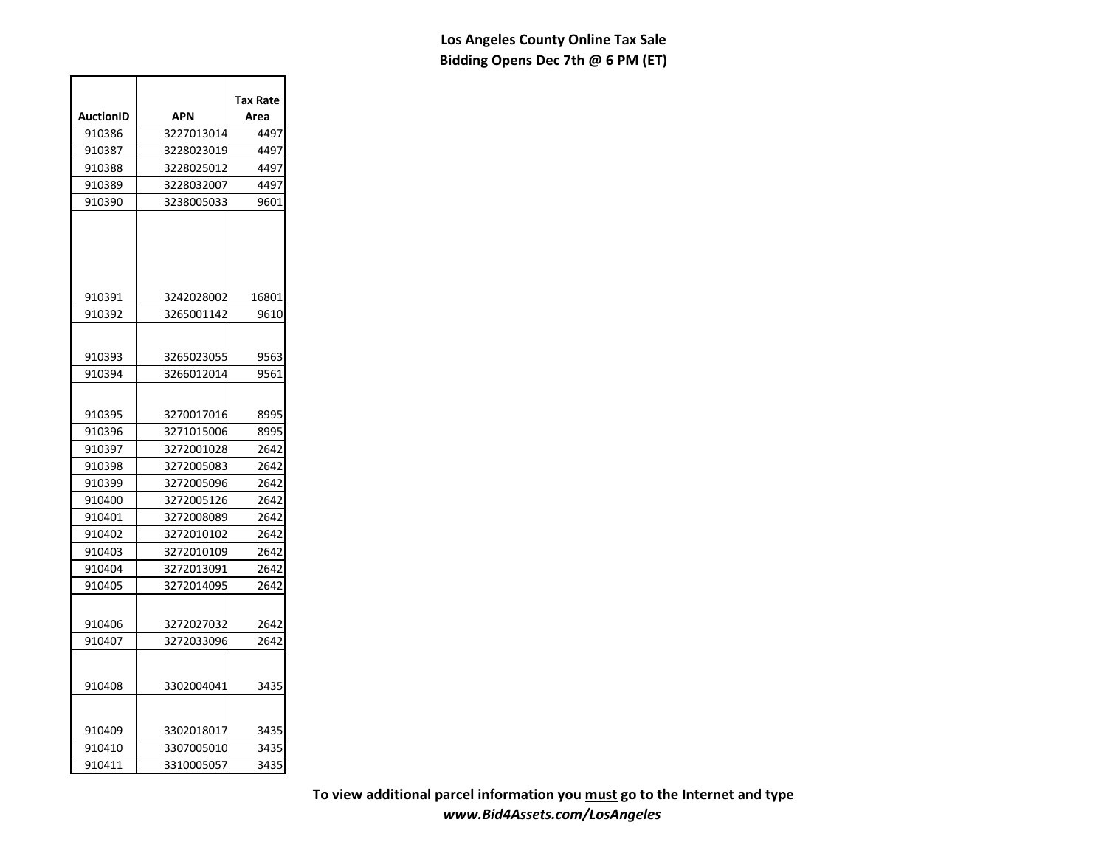|                  |                          | Tax Rate     |
|------------------|--------------------------|--------------|
| <b>AuctionID</b> | APN                      | Area         |
| 910386           | 3227013014               | 4497         |
| 910387           | 3228023019               | 4497         |
| 910388           | 3228025012               | 4497         |
| 910389           | 3228032007               | 4497         |
| 910390           | 3238005033               | 9601         |
|                  |                          |              |
| 910391           | 3242028002               | 16801        |
| 910392           | 3265001142               | 9610         |
| 910393<br>910394 | 3265023055<br>3266012014 | 9563<br>9561 |
|                  |                          |              |
| 910395           | 3270017016               | 8995         |
| 910396           | 3271015006               | 8995         |
| 910397           | 3272001028               | 2642         |
| 910398           | 3272005083               | 2642         |
| 910399           | 3272005096               | 2642         |
| 910400           | 3272005126               | 2642         |
| 910401           | 3272008089               | 2642         |
| 910402           | 3272010102               | 2642         |
| 910403           | 3272010109               | 2642         |
| 910404           | 3272013091               | 2642         |
| 910405           | 3272014095               | 2642         |
| 910406           | 3272027032               | 2642         |
| 910407           | 3272033096               | 2642         |
| 910408           | 3302004041               | 3435         |
| 910409           | 3302018017               | 3435         |
| 910410           | 3307005010               | 3435         |
| 910411           | 3310005057               | 3435         |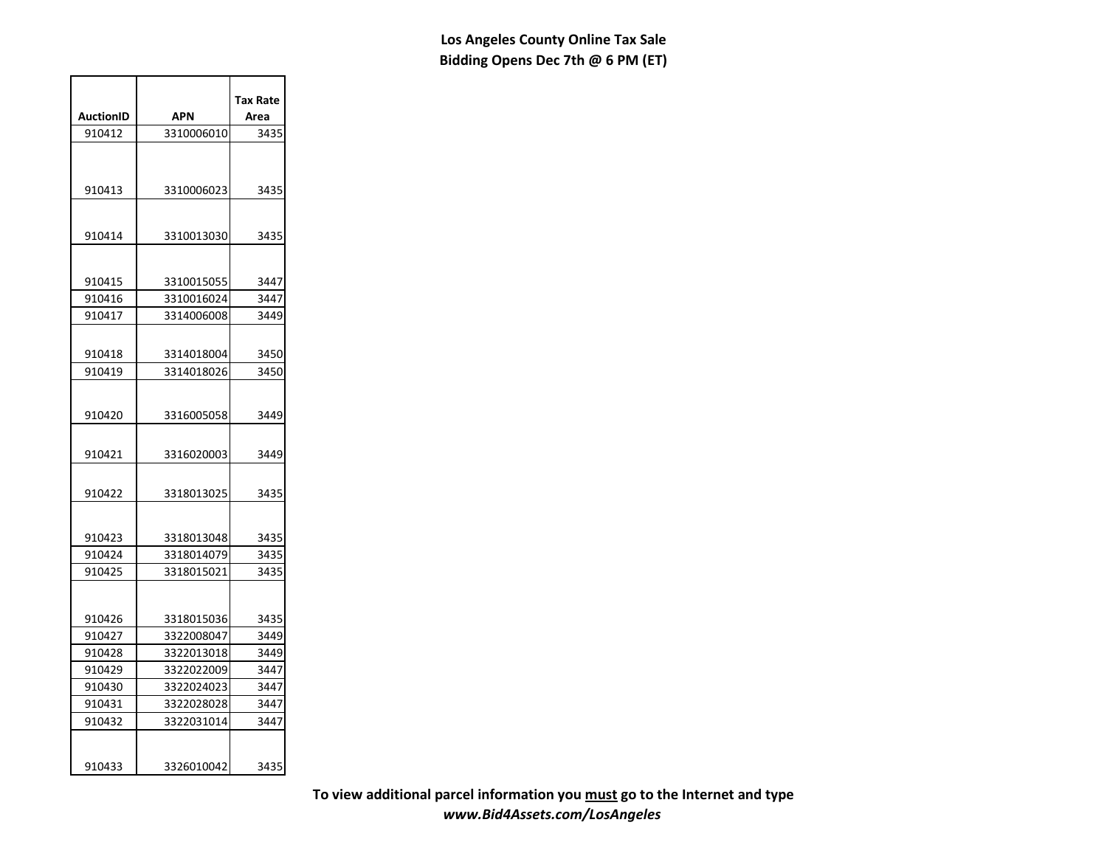| AuctionID | APN        | Tax Rate<br>Area |
|-----------|------------|------------------|
|           |            |                  |
| 910412    | 3310006010 | 3435             |
|           |            |                  |
| 910413    | 3310006023 | 3435             |
|           |            |                  |
| 910414    | 3310013030 | 3435             |
| 910415    | 3310015055 | 3447             |
| 910416    | 3310016024 | 3447             |
| 910417    | 3314006008 | 3449             |
|           |            |                  |
| 910418    | 3314018004 | 3450             |
| 910419    | 3314018026 | 3450             |
| 910420    | 3316005058 | 3449             |
|           |            |                  |
| 910421    | 3316020003 | 3449             |
| 910422    | 3318013025 | 3435             |
| 910423    | 3318013048 | 3435             |
| 910424    | 3318014079 | 3435             |
| 910425    | 3318015021 | 3435             |
|           |            |                  |
| 910426    | 3318015036 | 3435             |
| 910427    | 3322008047 | 3449             |
| 910428    | 3322013018 | 3449             |
| 910429    | 3322022009 | 3447             |
| 910430    | 3322024023 | 3447             |
| 910431    | 3322028028 | 3447             |
| 910432    | 3322031014 | 3447             |
| 910433    | 3326010042 | 3435             |
|           |            |                  |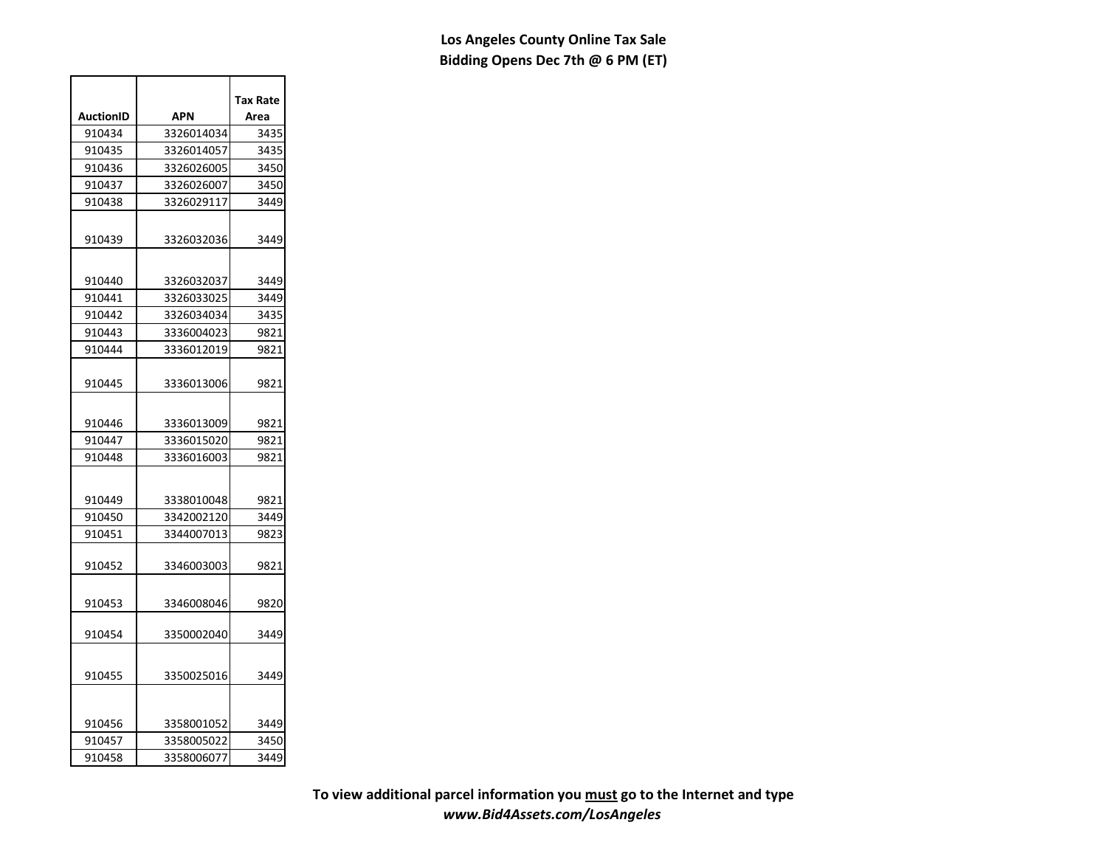|           |            | Tax Rate |
|-----------|------------|----------|
| AuctionID | APN        | Area     |
| 910434    | 3326014034 | 3435     |
| 910435    | 3326014057 | 3435     |
| 910436    | 3326026005 | 3450     |
| 910437    | 3326026007 | 3450     |
| 910438    | 3326029117 | 3449     |
|           |            |          |
| 910439    | 3326032036 | 3449     |
|           |            |          |
| 910440    | 3326032037 | 3449     |
| 910441    | 3326033025 | 3449     |
| 910442    | 3326034034 | 3435     |
| 910443    | 3336004023 | 9821     |
| 910444    | 3336012019 | 9821     |
|           |            |          |
| 910445    | 3336013006 | 9821     |
|           |            |          |
| 910446    | 3336013009 | 9821     |
| 910447    | 3336015020 | 9821     |
| 910448    | 3336016003 | 9821     |
|           |            |          |
|           |            |          |
| 910449    | 3338010048 | 9821     |
| 910450    | 3342002120 | 3449     |
| 910451    | 3344007013 | 9823     |
|           |            |          |
| 910452    | 3346003003 | 9821     |
|           |            |          |
| 910453    | 3346008046 | 9820     |
|           |            |          |
| 910454    | 3350002040 | 3449     |
|           |            |          |
| 910455    | 3350025016 | 3449     |
|           |            |          |
|           |            |          |
| 910456    | 3358001052 | 3449     |
| 910457    | 3358005022 | 3450     |
| 910458    | 3358006077 | 3449     |